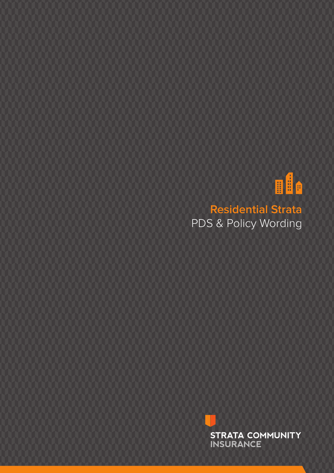

**Residential Strata** PDS & Policy Wording

> **STRATA COMMUNITY INSURANCE**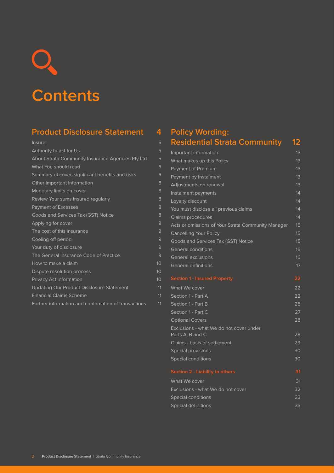# **Contents**

# **Product Disclosure Statement 4**

| Insurer                                              | 5  |
|------------------------------------------------------|----|
| Authority to act for Us                              | 5  |
| About Strata Community Insurance Agencies Pty Ltd    | 5  |
| What You should read                                 | 6  |
| Summary of cover, significant benefits and risks     | 6  |
| Other important information                          | 8  |
| Monetary limits on cover                             | 8  |
| Review Your sums insured regularly                   | 8  |
| <b>Payment of Excesses</b>                           | 8  |
| Goods and Services Tax (GST) Notice                  | 8  |
| Applying for cover                                   | 9  |
| The cost of this insurance                           | 9  |
| Cooling off period                                   | 9  |
| Your duty of disclosure                              | 9  |
| The General Insurance Code of Practice               | 9  |
| How to make a claim                                  | 10 |
| Dispute resolution process                           | 10 |
| Privacy Act information                              | 10 |
| <b>Updating Our Product Disclosure Statement</b>     | 11 |
| <b>Financial Claims Scheme</b>                       | 11 |
| Further information and confirmation of transactions | 11 |
|                                                      |    |

# **Policy Wording: Residential Strata Community 12**

| Important information                              | 13 |
|----------------------------------------------------|----|
| What makes up this Policy                          | 13 |
| Payment of Premium                                 | 13 |
| Payment by Instalment                              | 13 |
| Adjustments on renewal                             | 13 |
| Instalment payments                                | 14 |
| Loyalty discount                                   | 14 |
| You must disclose all previous claims              | 14 |
| Claims procedures                                  | 14 |
| Acts or omissions of Your Strata Community Manager | 15 |
| <b>Cancelling Your Policy</b>                      | 15 |
| Goods and Services Tax (GST) Notice                | 15 |
| <b>General conditions</b>                          | 16 |
| <b>General exclusions</b>                          | 16 |
| <b>General definitions</b>                         | 17 |
|                                                    |    |
| <b>Section 1 - Insured Property</b>                | 22 |
| What We cover                                      | 22 |
| Section 1 - Part A                                 | 22 |
| Section 1 - Part B                                 | 25 |
| Section 1 - Part C                                 | 27 |
| <b>Optional Covers</b>                             | 28 |
| Exclusions - what We do not cover under            |    |
| Parts A, B and C                                   | 28 |
| Claims - basis of settlement                       | 29 |
| Special provisions                                 | 30 |
| <b>Special conditions</b>                          | 30 |
| Section 2 - Liability to others                    | 31 |
| What We cover                                      | 31 |
| Exclusions - what We do not cover                  | 32 |
| Special conditions                                 | 33 |
| Special definitions                                | 33 |
|                                                    |    |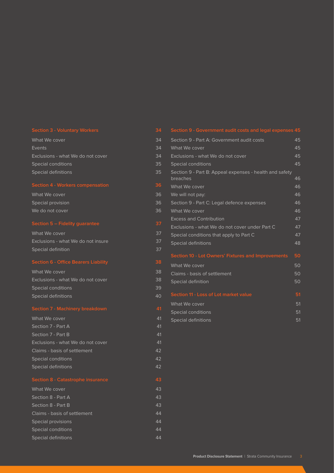What We cover a state of the state of the state of the state of the state of the state of the state of the state of the state of the state of the state of the state of the state of the state of the state of the state of th Events 34 Exclusions - what We do not cover 34 Special conditions and the state of the state of the state  $35$ Special definitions 35

| Section 4 - Workers compensation | 36  |
|----------------------------------|-----|
| What We cover                    | 36. |
| Special provision                | 36. |
| We do not cover                  | วร  |

What We cover 37 Exclusions - what We do not insure 37 Special definition 37

| What We cover                     | 38 |
|-----------------------------------|----|
| Exclusions - what We do not cover | 38 |
| Special conditions                | 39 |
| Special definitions               | ⊿റ |

| What We cover                     | 41 |
|-----------------------------------|----|
| Section 7 - Part A                | 41 |
| Section 7 - Part B                | 41 |
| Exclusions - what We do not cover | 41 |
| Claims - basis of settlement      | 42 |
| Special conditions                | 42 |
| Special definitions               | 42 |

| What We cover                | 43 |
|------------------------------|----|
| Section 8 - Part A           | 43 |
| Section 8 - Part B           | 43 |
| Claims - basis of settlement | 44 |
| Special provisions           | 44 |
| Special conditions           | 44 |
| Special definitions          | 44 |

# Section 9 - Part A: Government audit costs 45 What We cover **45** Exclusions - what We do not cover 45 Special conditions and the set of the set of the set of the set of the set of the set of the set of the set of the set of the set of the set of the set of the set of the set of the set of the set of the set of the set of t Section 9 - Part B: Appeal expenses - health and safety breaches 46 What We cover the contract of the contract of the contract of the contract of the contract of the contract of the contract of the contract of the contract of the contract of the contract of the contract of the contract of We will not pay: 46 Section 9 - Part C: Legal defence expenses 46 What We cover and the cover and the cover and the cover and the cover and the cover and the cover and the cover Excess and Contribution **47** Exclusions - what We do not cover under Part C 47 Special conditions that apply to Part C 47 Special definitions 48 What We cover **50** Claims - basis of settlement 50 Special definition 50 What We cover **51** Special conditions and the state of the Special conditions of the state of the Special conditions of the Special Conditions of the Special Conditions of the Special Conditions of the Special Conditions of the Special Condi Special definitions 51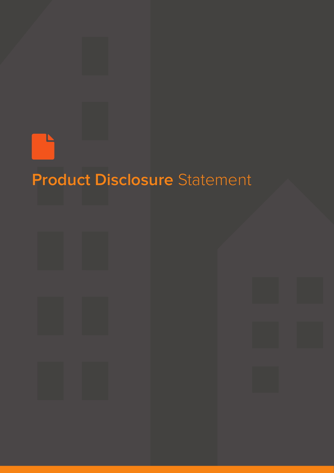

# **Product Disclosure** Statement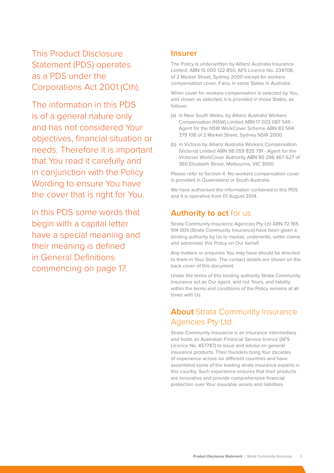This Product Disclosure Statement (PDS) operates as a PDS under the Corporations Act 2001 (Cth).

The information in this PDS is of a general nature only and has not considered Your objectives, financial situation or needs. Therefore it is important that You read it carefully and in conjunction with the Policy Wording to ensure You have the cover that is right for You.

In this PDS some words that begin with a capital letter have a special meaning and their meaning is defined in General Definitions commencing on page 17.

## **Insurer**

The Policy is underwritten by Allianz Australia Insurance Limited, ABN 15 000 122 850, AFS Licence No. 234708, of 2 Market Street, Sydney 2000 except for workers compensation cover, if any, in some States in Australia.

When cover for workers compensation is selected by You, and shown as selected, it is provided in those States, as follows:

- (a) in New South Wales, by Allianz Australia Workers Compensation (NSW) Limited ABN 17 003 087 545 - Agent for the NSW WorkCover Scheme ABN 83 564 379 108 of 2 Market Street, Sydney NSW 2000.
- (b) in Victoria by Allianz Australia Workers Compensation (Victoria) Limited ABN 98 059 835 791 - Agent for the Victorian WorkCover Authority ABN 90 296 467 627 of 360 Elizabeth Street, Melbourne, VIC 3000

Please refer to Section 4. No workers compensation cover is provided in Queensland or South Australia.

We have authorised the information contained in this PDS and it is operative from 01 August 2014.

# **Authority to act** for us

Strata Community Insurance Agencies Pty Ltd ABN 72 165 914 009 (Strata Community Insurance) have been given a binding authority by Us to market, underwrite, settle claims and administer this Policy on Our behalf.

Any matters or enquiries You may have should be directed to them in Your State. The contact details are shown on the back cover of this document.

Under the terms of this binding authority Strata Community Insurance act as Our agent, and not Yours, and liability within the terms and conditions of the Policy remains at all times with Us.

# **About Strata Community Insurance** Agencies Pty Ltd

Strata Community Insurance is an insurance intermediary and holds an Australian Financial Service licence (AFS Licence No. 457787) to issue and advise on general insurance products. Their founders bring four decades of experience across six different countries and have assembled some of the leading strata insurance experts in this country. Such experience ensures that their products are innovative and provide comprehensive financial protection over Your insurable assets and liabilities.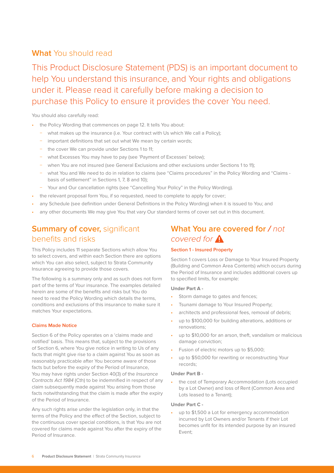# **What** You should read

This Product Disclosure Statement (PDS) is an important document to help You understand this insurance, and Your rights and obligations under it. Please read it carefully before making a decision to purchase this Policy to ensure it provides the cover You need.

## You should also carefully read:

- the Policy Wording that commences on page 12. It tells You about:
	- − what makes up the insurance (i.e. Your contract with Us which We call a Policy);
	- important definitions that set out what We mean by certain words;
	- the cover We can provide under Sections 1 to 11;
	- − what Excesses You may have to pay (see 'Payment of Excesses' below);
	- − when You are not insured (see General Exclusions and other exclusions under Sections 1 to 11);
	- − what You and We need to do in relation to claims (see "Claims procedures" in the Policy Wording and "Claims basis of settlement" in Sections 1, 7, 8 and 10);
		- − Your and Our cancellation rights (see "Cancelling Your Policy" in the Policy Wording).
- the relevant proposal form You, if so requested, need to complete to apply for cover;
- any Schedule (see definition under General Definitions in the Policy Wording) when it is issued to You; and
- any other documents We may give You that vary Our standard terms of cover set out in this document.

# **Summary of cover, significant** benefits and risks

This Policy includes 11 separate Sections which allow You to select covers, and within each Section there are options which You can also select, subject to Strata Community Insurance agreeing to provide those covers.

The following is a summary only and as such does not form part of the terms of Your insurance. The examples detailed herein are some of the benefits and risks but You do need to read the Policy Wording which details the terms, conditions and exclusions of this insurance to make sure it matches Your expectations.

#### **Claims Made Notice**

Section 6 of the Policy operates on a 'claims made and notified' basis. This means that, subject to the provisions of Section 6, where You give notice in writing to Us of any facts that might give rise to a claim against You as soon as reasonably practicable after You become aware of those facts but before the expiry of the Period of Insurance, You may have rights under Section 40(3) of the *Insurance* Contracts Act 1984 (Cth) to be indemnified in respect of any claim subsequently made against You arising from those facts notwithstanding that the claim is made after the expiry of the Period of Insurance.

Any such rights arise under the legislation only, in that the terms of the Policy and the effect of the Section, subject to the continuous cover special conditions, is that You are not covered for claims made against You after the expiry of the Period of Insurance.

# **What You are covered for /** *not covered for*

#### **Section 1 - Insured Property**

Section 1 covers Loss or Damage to Your Insured Property (Building and Common Area Contents) which occurs during the Period of Insurance and includes additional covers up to specified limits, for example:

#### **Under Part A -**

- Storm damage to gates and fences;
- Tsunami damage to Your Insured Property;
- architects and professional fees, removal of debris;
- up to \$100,000 for building alterations, additions or renovations;
- up to \$10,000 for an arson, theft, vandalism or malicious damage conviction;
- Fusion of electric motors up to \$5,000;
- up to \$50,000 for rewriting or reconstructing Your records;

#### **Under Part B -**

the cost of Temporary Accommodation (Lots occupied by a Lot Owner) and loss of Rent (Common Area and Lots leased to a Tenant);

#### **Under Part C -**

up to \$1,500 a Lot for emergency accommodation incurred by Lot Owners and/or Tenants if their Lot becomes unfit for its intended purpose by an insured Event;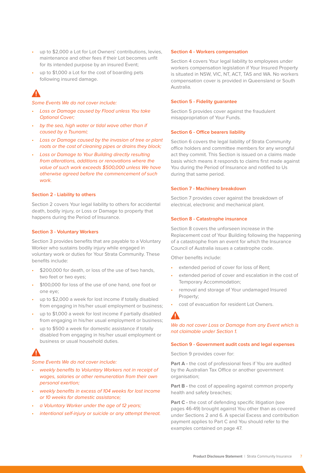- up to \$2,000 a Lot for Lot Owners' contributions, levies, maintenance and other fees if their Lot becomes unfit for its intended purpose by an insured Event;
- up to \$1,000 a Lot for the cost of boarding pets following insured damage.

Some Events We do not cover include:

- Loss or Damage caused by Flood unless You take Optional Cover;
- by the sea, high water or tidal wave other than if caused by a Tsunami;
- Loss or Damage caused by the invasion of tree or plant roots or the cost of cleaning pipes or drains they block;
- Loss or Damage to Your Building directly resulting from alterations, additions or renovations where the value of such work exceeds \$500,000 unless We have otherwise agreed before the commencement of such work.

#### **Section 2 - Liability to others**

Section 2 covers Your legal liability to others for accidental death, bodily injury, or Loss or Damage to property that happens during the Period of Insurance.

#### **Section 3 - Voluntary Workers**

Section 3 provides benefits that are payable to a Voluntary Worker who sustains bodily injury while engaged in voluntary work or duties for Your Strata Community. These benefits include:

- \$200.000 for death, or loss of the use of two hands, two feet or two eyes;
- \$100,000 for loss of the use of one hand, one foot or one eye;
- up to \$2,000 a week for lost income if totally disabled from engaging in his/her usual employment or business;
- up to \$1,000 a week for lost income if partially disabled from engaging in his/her usual employment or business;
- up to \$500 a week for domestic assistance if totally disabled from engaging in his/her usual employment or business or usual household duties.

#### Some Events We do not cover include:

- weekly benefits to Voluntary Workers not in receipt of wages, salaries or other remuneration from their own personal exertion;
- weekly benefits in excess of 104 weeks for lost income or 10 weeks for domestic assistance;
- a Voluntary Worker under the age of 12 years;
- intentional self-injury or suicide or any attempt thereat.

#### **Section 4 - Workers compensation**

Section 4 covers Your legal liability to employees under workers compensation legislation if Your Insured Property is situated in NSW, VIC, NT, ACT, TAS and WA. No workers compensation cover is provided in Queensland or South Australia.

#### **Section 5 - Fidelity guarantee**

Section 5 provides cover against the fraudulent misappropriation of Your Funds.

#### **Section 6 - Office bearers liability**

Section 6 covers the legal liability of Strata Community office holders and committee members for any wrongful act they commit. This Section is issued on a claims made basis which means it responds to claims first made against You during the Period of Insurance and notified to Us during that same period.

#### **Section 7 - Machinery breakdown**

Section 7 provides cover against the breakdown of electrical, electronic and mechanical plant.

#### **Section 8 - Catastrophe insurance**

Section 8 covers the unforseen increase in the Replacement cost of Your Building following the happening of a catastrophe from an event for which the Insurance Council of Australia issues a catastrophe code.

Other benefits include:

- extended period of cover for loss of Rent;
- extended period of cover and escalation in the cost of Temporary Accommodation;
- removal and storage of Your undamaged Insured Property;
- cost of evacuation for resident Lot Owners.

# $\blacktriangle$

### We do not cover Loss or Damage from any Event which is not claimable under Section 1.

#### **Section 9 - Government audit costs and legal expenses**

Section 9 provides cover for:

**Part A** - the cost of professional fees if You are audited by the Australian Tax Office or another government organisation;

**Part B -** the cost of appealing against common property health and safety breaches;

**Part C** - the cost of defending specific litigation (see pages 46-49) brought against You other than as covered under Sections 2 and 6. A special Excess and contribution payment applies to Part C and You should refer to the examples contained on page 47.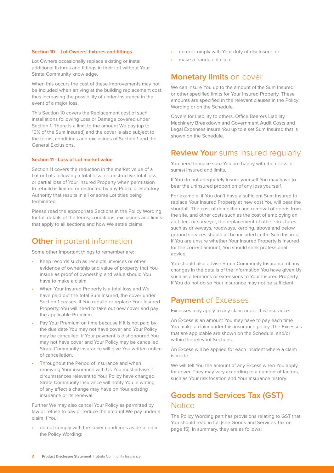#### **Section 10 – Lot Owners' fixtures and fittings**

Lot Owners occasionally replace existing or install additional fixtures and fittings in their Lot without Your Strata Community knowledge.

When this occurs the cost of these improvements may not be included when arriving at the building replacement cost, thus increasing the possibility of under-insurance in the event of a major loss.

This Section 10 covers the Replacement cost of such installations following Loss or Damage covered under Section 1. There is a limit to the amount We pay (up to 10% of the Sum Insured) and the cover is also subject to the terms, conditions and exclusions of Section 1 and the General Exclusions.

#### **Section 11 - Loss of Lot market value**

Section 11 covers the reduction in the market value of a Lot or Lots following a total loss or constructive total loss, or partial loss of Your Insured Property when permission to rebuild is limited or restricted by any Public or Statutory Authority that results in all or some Lot titles being terminated.

Please read the appropriate Sections in the Policy Wording for full details of the terms, conditions, exclusions and limits that apply to all sections and how We settle claims.

## **Other** important information

Some other important things to remember are:

- Keep records such as receipts, invoices or other evidence of ownership and value of property that You insure as proof of ownership and value should You have to make a claim.
- When Your Insured Property is a total loss and We have paid out the total Sum Insured, the cover under Section 1 ceases. If You rebuild or replace Your Insured Property, You will need to take out new cover and pay the applicable Premium.
- Pay Your Premium on time because if it is not paid by the due date You may not have cover and Your Policy may be cancelled. If Your payment is dishonoured You may not have cover and Your Policy may be cancelled. Strata Community Insurance will give You written notice of cancellation.
- Throughout the Period of Insurance and when renewing Your insurance with Us You must advise if circumstances relevant to Your Policy have changed. Strata Community Insurance will notify You in writing of any effect a change may have on Your existing insurance or its renewal.

Further We may also cancel Your Policy as permitted by law or refuse to pay or reduce the amount We pay under a claim if You:

• do not comply with the cover conditions as detailed in the Policy Wording;

- do not comply with Your duty of disclosure; or
- make a fraudulent claim.

## **Monetary limits** on cover

We can insure You up to the amount of the Sum Insured or other specified limits for Your Insured Property. These amounts are specified in the relevant clauses in the Policy Wording or on the Schedule.

Covers for Liability to others, Office Bearers Liability, Machinery Breakdown and Government Audit Costs and Legal Expenses insure You up to a set Sum Insured that is shown on the Schedule.

## **Review Your** sums insured regularly

You need to make sure You are happy with the relevant sum(s) insured and limits.

If You do not adequately insure yourself You may have to bear the uninsured proportion of any loss yourself.

For example, if You don't have a sufficient Sum Insured to replace Your Insured Property at new cost You will bear the shortfall. The cost of demolition and removal of debris from the site, and other costs such as the cost of employing an architect or surveyor, the replacement of other structures such as driveways, roadways, kerbing, above and below ground services should all be included in the Sum Insured. If You are unsure whether Your Insured Property is insured for the correct amount, You should seek professional advice.

You should also advise Strata Community Insurance of any changes in the details of the information You have given Us such as alterations or extensions to Your Insured Property. If You do not do so Your insurance may not be sufficient.

# **Payment** of Excesses

Excesses may apply to any claim under this insurance.

An Excess is an amount You may have to pay each time You make a claim under this insurance policy. The Excesses that are applicable are shown on the Schedule, and/or within the relevant Sections.

An Excess will be applied for each incident where a claim is made.

We will tell You the amount of any Excess when You apply for cover. They may vary according to a number of factors, such as Your risk location and Your insurance history.

# **Goods and Services Tax (GST) Notice**

The Policy Wording part has provisions relating to GST that You should read in full (see Goods and Services Tax on page 15). In summary, they are as follows: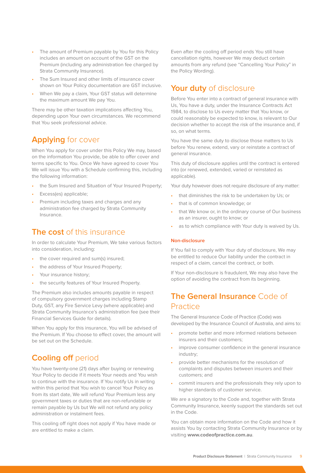- The amount of Premium payable by You for this Policy includes an amount on account of the GST on the Premium (including any administration fee charged by Strata Community Insurance).
- The Sum Insured and other limits of insurance cover shown on Your Policy documentation are GST inclusive.
- When We pay a claim, Your GST status will determine the maximum amount We pay You.

There may be other taxation implications affecting You, depending upon Your own circumstances. We recommend that You seek professional advice.

# **Applying** for cover

When You apply for cover under this Policy We may, based on the information You provide, be able to offer cover and terms specific to You. Once We have agreed to cover You We will issue You with a Schedule confirming this, including the following information:

- the Sum Insured and Situation of Your Insured Property;
- Excess(es) applicable;
- Premium including taxes and charges and any administration fee charged by Strata Community Insurance.

# **The cost** of this insurance

In order to calculate Your Premium, We take various factors into consideration, including:

- the cover required and sum(s) insured:
- the address of Your Insured Property:
- Your insurance history;
- the security features of Your Insured Property.

The Premium also includes amounts payable in respect of compulsory government charges including Stamp Duty, GST, any Fire Service Levy (where applicable) and Strata Community Insurance's administration fee (see their Financial Services Guide for details).

When You apply for this insurance, You will be advised of the Premium. If You choose to effect cover, the amount will be set out on the Schedule.

# **Cooling off period**

You have twenty-one (21) days after buying or renewing Your Policy to decide if it meets Your needs and You wish to continue with the insurance. If You notify Us in writing within this period that You wish to cancel Your Policy as from its start date, We will refund Your Premium less any government taxes or duties that are non-refundable or remain payable by Us but We will not refund any policy administration or instalment fees.

This cooling off right does not apply if You have made or are entitled to make a claim.

Even after the cooling off period ends You still have cancellation rights, however We may deduct certain amounts from any refund (see "Cancelling Your Policy" in the Policy Wording).

# **Your duty** of disclosure

Before You enter into a contract of general insurance with Us, You have a duty, under the Insurance Contracts Act 1984, to disclose to Us every matter that You know, or could reasonably be expected to know, is relevant to Our decision whether to accept the risk of the insurance and, if so, on what terms.

You have the same duty to disclose those matters to Us before You renew, extend, vary or reinstate a contract of general insurance.

This duty of disclosure applies until the contract is entered into (or renewed, extended, varied or reinstated as applicable).

Your duty however does not require disclosure of any matter:

- that diminishes the risk to be undertaken by Us; or
- that is of common knowledge; or
- that We know or, in the ordinary course of Our business as an insurer, ought to know; or
- as to which compliance with Your duty is waived by Us.

#### **Non-disclosure**

If You fail to comply with Your duty of disclosure, We may be entitled to reduce Our liability under the contract in respect of a claim, cancel the contract, or both.

If Your non-disclosure is fraudulent, We may also have the option of avoiding the contract from its beginning.

# **The General Insurance** Code of Practice

The General Insurance Code of Practice (Code) was developed by the Insurance Council of Australia, and aims to:

- promote better and more informed relations between insurers and their customers;
- improve consumer confidence in the general insurance industry;
- provide better mechanisms for the resolution of complaints and disputes between insurers and their customers; and
- commit insurers and the professionals they rely upon to higher standards of customer service.

We are a signatory to the Code and, together with Strata Community Insurance, keenly support the standards set out in the Code.

You can obtain more information on the Code and how it assists You by contacting Strata Community Insurance or by visiting **www.codeofpractice.com.au**.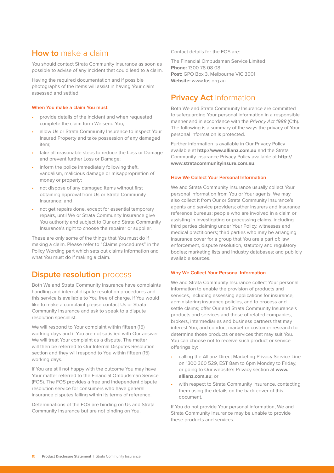# **How to** make a claim

You should contact Strata Community Insurance as soon as possible to advise of any incident that could lead to a claim.

Having the required documentation and if possible photographs of the items will assist in having Your claim assessed and settled.

#### **When You make a claim You must:**

- provide details of the incident and when requested complete the claim form We send You;
- allow Us or Strata Community Insurance to inspect Your Insured Property and take possession of any damaged item;
- take all reasonable steps to reduce the Loss or Damage and prevent further Loss or Damage;
- inform the police immediately following theft, vandalism, malicious damage or misappropriation of money or property;
- not dispose of any damaged items without first obtaining approval from Us or Strata Community Insurance; and
- not get repairs done, except for essential temporary repairs, until We or Strata Community Insurance give You authority and subject to Our and Strata Community Insurance's right to choose the repairer or supplier.

These are only some of the things that You must do if making a claim. Please refer to "Claims procedures" in the Policy Wording part which sets out claims information and what You must do if making a claim.

# **Dispute resolution** process

Both We and Strata Community Insurance have complaints handling and internal dispute resolution procedures and this service is available to You free of charge. If You would like to make a complaint please contact Us or Strata Community Insurance and ask to speak to a dispute resolution specialist.

We will respond to Your complaint within fifteen (15) working days and if You are not satisfied with Our answer We will treat Your complaint as a dispute. The matter will then be referred to Our Internal Disputes Resolution section and they will respond to You within fifteen (15) working days.

If You are still not happy with the outcome You may have Your matter referred to the Financial Ombudsman Service (FOS). The FOS provides a free and independent dispute resolution service for consumers who have general insurance disputes falling within its terms of reference.

Determinations of the FOS are binding on Us and Strata Community Insurance but are not binding on You.

Contact details for the FOS are:

The Financial Ombudsman Service Limited **Phone:** 1300 78 08 08 **Post:** GPO Box 3, Melbourne VIC 3001 **Website:** www.fos.org.au

# **Privacy Act information**

Both We and Strata Community Insurance are committed to safeguarding Your personal information in a responsible manner and in accordance with the Privacy Act 1988 (Cth). The following is a summary of the ways the privacy of Your personal information is protected.

Further information is available in Our Privacy Policy available at **http://www.allianz.com.au** and the Strata Community Insurance Privacy Policy available at **http:// www.stratacommunityinsure.com.au**.

#### **How We Collect Your Personal Information**

We and Strata Community Insurance usually collect Your personal information from You or Your agents. We may also collect it from Our or Strata Community Insurance's agents and service providers; other insurers and insurance reference bureaus; people who are involved in a claim or assisting in investigating or processing claims, including third parties claiming under Your Policy, witnesses and medical practitioners; third parties who may be arranging insurance cover for a group that You are a part of; law enforcement, dispute resolution, statutory and regulatory bodies; marketing lists and industry databases; and publicly available sources.

#### **Why We Collect Your Personal Information**

We and Strata Community Insurance collect Your personal information to enable the provision of products and services, including assessing applications for insurance, administering insurance policies, and to process and settle claims; offer Our and Strata Community Insurance's products and services and those of related companies, brokers, intermediaries and business partners that may interest You; and conduct market or customer research to determine those products or services that may suit You. You can choose not to receive such product or service offerings by:

- calling the Allianz Direct Marketing Privacy Service Line on 1300 360 529, EST 8am to 6pm Monday to Friday, or going to Our website's Privacy section at **www. allianz.com.au**; or
- with respect to Strata Community Insurance, contacting them using the details on the back cover of this document.

If You do not provide Your personal information, We and Strata Community Insurance may be unable to provide these products and services.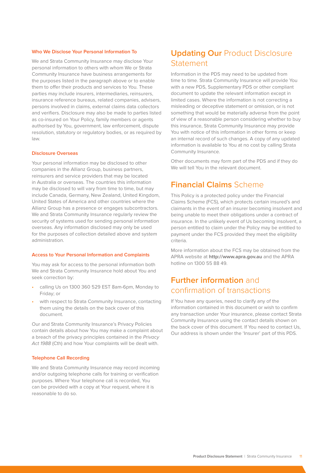#### **Who We Disclose Your Personal Information To**

We and Strata Community Insurance may disclose Your personal information to others with whom We or Strata Community Insurance have business arrangements for the purposes listed in the paragraph above or to enable them to offer their products and services to You. These parties may include insurers, intermediaries, reinsurers, insurance reference bureaus, related companies, advisers, persons involved in claims, external claims data collectors and verifiers. Disclosure may also be made to parties listed as co-insured on Your Policy, family members or agents authorised by You, government, law enforcement, dispute resolution, statutory or regulatory bodies, or as required by law.

#### **Disclosure Overseas**

Your personal information may be disclosed to other companies in the Allianz Group, business partners, reinsurers and service providers that may be located in Australia or overseas. The countries this information may be disclosed to will vary from time to time, but may include Canada, Germany, New Zealand, United Kingdom, United States of America and other countries where the Allianz Group has a presence or engages subcontractors. We and Strata Community Insurance regularly review the security of systems used for sending personal information overseas. Any information disclosed may only be used for the purposes of collection detailed above and system administration.

#### **Access to Your Personal Information and Complaints**

You may ask for access to the personal information both We and Strata Community Insurance hold about You and seek correction by:

- calling Us on 1300 360 529 EST 8am-6pm, Monday to Friday; or
- with respect to Strata Community Insurance, contacting them using the details on the back cover of this document.

Our and Strata Community Insurance's Privacy Policies contain details about how You may make a complaint about a breach of the privacy principles contained in the Privacy Act 1988 (Cth) and how Your complaints will be dealt with.

#### **Telephone Call Recording**

We and Strata Community Insurance may record incoming and/or outgoing telephone calls for training or verification purposes. Where Your telephone call is recorded, You can be provided with a copy at Your request, where it is reasonable to do so.

# **Updating Our Product Disclosure** Statement

Information in the PDS may need to be updated from time to time. Strata Community Insurance will provide You with a new PDS, Supplementary PDS or other compliant document to update the relevant information except in limited cases. Where the information is not correcting a misleading or deceptive statement or omission, or is not something that would be materially adverse from the point of view of a reasonable person considering whether to buy this insurance, Strata Community Insurance may provide You with notice of this information in other forms or keep an internal record of such changes. A copy of any updated information is available to You at no cost by calling Strata Community Insurance.

Other documents may form part of the PDS and if they do We will tell You in the relevant document.

# **Financial Claims** Scheme

This Policy is a protected policy under the Financial Claims Scheme (FCS), which protects certain insured's and claimants in the event of an insurer becoming insolvent and being unable to meet their obligations under a contract of insurance. In the unlikely event of Us becoming insolvent, a person entitled to claim under the Policy may be entitled to payment under the FCS provided they meet the eligibility criteria.

More information about the FCS may be obtained from the APRA website at **http://www.apra.gov.au** and the APRA hotline on 1300 55 88 49.

# **Further information** and confirmation of transactions

If You have any queries, need to clarify any of the information contained in this document or wish to confirm any transaction under Your insurance, please contact Strata Community Insurance using the contact details shown on the back cover of this document. If You need to contact Us, Our address is shown under the 'Insurer' part of this PDS.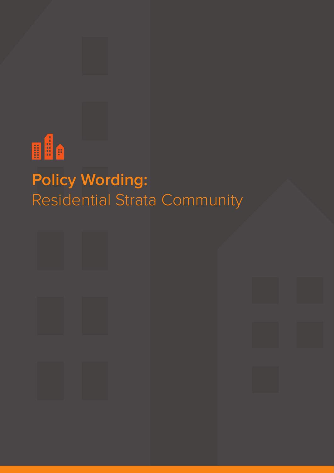

# **Policy Wording:**  Residential Strata Community

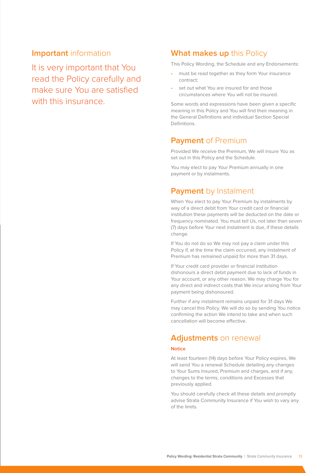## **Important** information

It is very important that You read the Policy carefully and make sure You are satisfied with this insurance

# **What makes up** this Policy

This Policy Wording, the Schedule and any Endorsements:

- must be read together as they form Your insurance contract;
- set out what You are insured for and those circumstances where You will not be insured.

Some words and expressions have been given a specific meaning in this Policy and You will find their meaning in the General Definitions and individual Section Special Definitions.

# **Payment** of Premium

Provided We receive the Premium, We will insure You as set out in this Policy and the Schedule.

You may elect to pay Your Premium annually in one payment or by instalments.

# **Payment** by Instalment

When You elect to pay Your Premium by instalments by way of a direct debit from Your credit card or financial institution these payments will be deducted on the date or frequency nominated. You must tell Us, not later than seven (7) days before Your next instalment is due, if these details change.

If You do not do so We may not pay a claim under this Policy if, at the time the claim occurred, any instalment of Premium has remained unpaid for more than 31 days.

If Your credit card provider or financial institution dishonours a direct debit payment due to lack of funds in Your account, or any other reason. We may charge You for any direct and indirect costs that We incur arising from Your payment being dishonoured.

Further if any instalment remains unpaid for 31 days We may cancel this Policy. We will do so by sending You notice confirming the action We intend to take and when such cancellation will become effective.

# **Adjustments** on renewal

#### **Notice**

At least fourteen (14) days before Your Policy expires, We will send You a renewal Schedule detailing any changes to Your Sums Insured, Premium and charges, and if any, changes to the terms, conditions and Excesses that previously applied.

You should carefully check all these details and promptly advise Strata Community Insurance if You wish to vary any of the limits.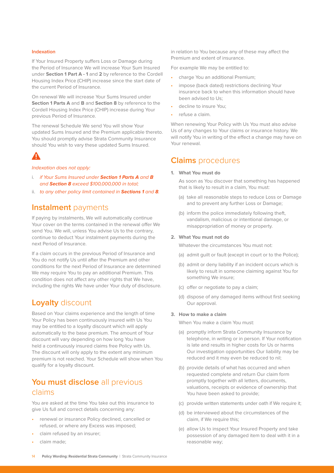#### **Indexation**

If Your Insured Property suffers Loss or Damage during the Period of Insurance We will increase Your Sum Insured under **Section 1 Part A - 1** and **2** by reference to the Cordell Housing Index Price (CHIP) increase since the start date of the current Period of Insurance.

On renewal We will increase Your Sums Insured under **Section 1 Parts A** and **B** and **Section 8** by reference to the Cordell Housing Index Price (CHIP) increase during Your previous Period of Insurance.

The renewal Schedule We send You will show Your updated Sums Insured and the Premium applicable thereto. You should promptly advise Strata Community Insurance should You wish to vary these updated Sums Insured.

Indexation does not apply:

- i. if Your Sums Insured under **Section 1 Parts A** and **B** and **Section 8** exceed \$100,000,000 in total;
- ii. to any other policy limit contained in **Sections 1** and **8**.

# **Instalment** payments

If paying by instalments, We will automatically continue Your cover on the terms contained in the renewal offer We send You. We will, unless You advise Us to the contrary, continue to deduct Your instalment payments during the next Period of Insurance.

If a claim occurs in the previous Period of Insurance and You do not notify Us until after the Premium and other conditions for the next Period of Insurance are determined We may require You to pay an additional Premium. This condition does not affect any other rights that We have, including the rights We have under Your duty of disclosure.

# **Loyalty** discount

Based on Your claims experience and the length of time Your Policy has been continuously insured with Us You may be entitled to a loyalty discount which will apply automatically to the base premium. The amount of Your discount will vary depending on how long You have held a continuously insured claims free Policy with Us. The discount will only apply to the extent any minimum premium is not reached. Your Schedule will show when You qualify for a loyalty discount.

# **You must disclose** all previous claims

You are asked at the time You take out this insurance to give Us full and correct details concerning any:

- renewal or insurance Policy declined, cancelled or refused, or where any Excess was imposed;
- claim refused by an insurer;
- claim made;

in relation to You because any of these may affect the Premium and extent of insurance.

For example We may be entitled to:

- charge You an additional Premium;
- impose (back dated) restrictions declining Your insurance back to when this information should have been advised to Us;
- decline to insure You;
- refuse a claim.

When renewing Your Policy with Us You must also advise Us of any changes to Your claims or insurance history. We will notify You in writing of the effect a change may have on Your renewal.

# **Claims** procedures

#### **1. What You must do**

As soon as You discover that something has happened that is likely to result in a claim, You must:

- (a) take all reasonable steps to reduce Loss or Damage and to prevent any further Loss or Damage;
- (b) inform the police immediately following theft. vandalism, malicious or intentional damage, or misappropriation of money or property.

## **2. What You must not do**

Whatever the circumstances You must not:

- (a) admit guilt or fault (except in court or to the Police);
- (b) admit or deny liability if an incident occurs which is likely to result in someone claiming against You for something We insure;
- (c) offer or negotiate to pay a claim;
- (d) dispose of any damaged items without first seeking Our approval.

### **3. How to make a claim**

When You make a claim You must:

- (a) promptly inform Strata Community Insurance by telephone, in writing or in person. If Your notification is late and results in higher costs for Us or harms Our investigation opportunities Our liability may be reduced and it may even be reduced to nil;
- (b) provide details of what has occurred and when requested complete and return Our claim form promptly together with all letters, documents, valuations, receipts or evidence of ownership that You have been asked to provide;
- (c) provide written statements under oath if We require it;
- (d) be interviewed about the circumstances of the claim, if We require this;
- (e) allow Us to inspect Your Insured Property and take possession of any damaged item to deal with it in a reasonable way;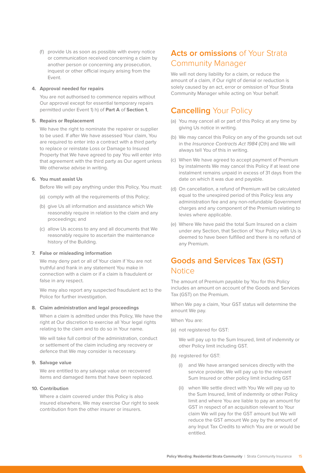(f) provide Us as soon as possible with every notice or communication received concerning a claim by another person or concerning any prosecution, inquest or other official inquiry arising from the Event.

## **4. Approval needed for repairs**

You are not authorised to commence repairs without Our approval except for essential temporary repairs permitted under Event 1) h) of **Part A** of **Section 1**,

### **5. Repairs or Replacement**

We have the right to nominate the repairer or supplier to be used. If after We have assessed Your claim, You are required to enter into a contract with a third party to replace or reinstate Loss or Damage to Insured Property that We have agreed to pay You will enter into that agreement with the third party as Our agent unless We otherwise advise in writing.

#### **6. You must assist Us**

Before We will pay anything under this Policy, You must:

- (a) comply with all the requirements of this Policy;
- (b) give Us all information and assistance which We reasonably require in relation to the claim and any proceedings; and
- (c) allow Us access to any and all documents that We reasonably require to ascertain the maintenance history of the Building.

#### **7. False or misleading information**

We may deny part or all of Your claim if You are not truthful and frank in any statement You make in connection with a claim or if a claim is fraudulent or false in any respect.

We may also report any suspected fraudulent act to the Police for further investigation.

#### **8. Claim administration and legal proceedings**

When a claim is admitted under this Policy, We have the right at Our discretion to exercise all Your legal rights relating to the claim and to do so in Your name.

We will take full control of the administration, conduct or settlement of the claim including any recovery or defence that We may consider is necessary.

#### **9. Salvage value**

We are entitled to any salvage value on recovered items and damaged items that have been replaced.

#### **10. Contribution**

Where a claim covered under this Policy is also insured elsewhere, We may exercise Our right to seek contribution from the other insurer or insurers.

# **Acts or omissions** of Your Strata Community Manager

We will not deny liability for a claim, or reduce the amount of a claim, if Our right of denial or reduction is solely caused by an act, error or omission of Your Strata Community Manager while acting on Your behalf.

# **Cancelling** Your Policy

- (a) You may cancel all or part of this Policy at any time by giving Us notice in writing.
- (b) We may cancel this Policy on any of the grounds set out in the *Insurance Contracts Act 1984* (Cth) and We will always tell You of this in writing.
- (c) When We have agreed to accept payment of Premium by instalments We may cancel this Policy if at least one instalment remains unpaid in excess of 31 days from the date on which it was due and payable.
- (d) On cancellation, a refund of Premium will be calculated equal to the unexpired period of this Policy less any administration fee and any non-refundable Government charges and any component of the Premium relating to levies where applicable.
- (e) Where We have paid the total Sum Insured on a claim under any Section, that Section of Your Policy with Us is deemed to have been fulfilled and there is no refund of any Premium.

# **Goods and Services Tax (GST) Notice**

The amount of Premium payable by You for this Policy includes an amount on account of the Goods and Services Tax (GST) on the Premium.

When We pay a claim, Your GST status will determine the amount We pay.

When You are:

(a) not registered for GST:

We will pay up to the Sum Insured, limit of indemnity or other Policy limit including GST.

- (b) registered for GST:
	- (i) and We have arranged services directly with the service provider, We will pay up to the relevant Sum Insured or other policy limit including GST
	- (ii) when We settle direct with You We will pay up to the Sum Insured, limit of indemnity or other Policy limit and where You are liable to pay an amount for GST in respect of an acquisition relevant to Your claim We will pay for the GST amount but We will reduce the GST amount We pay by the amount of any Input Tax Credits to which You are or would be entitled.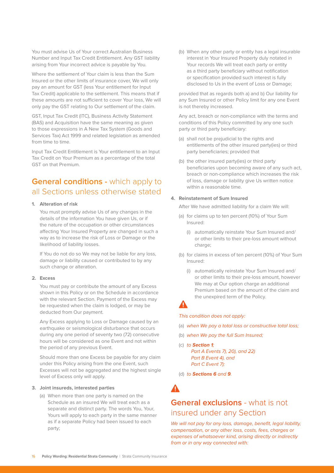You must advise Us of Your correct Australian Business Number and Input Tax Credit Entitlement. Any GST liability arising from Your incorrect advice is payable by You.

Where the settlement of Your claim is less than the Sum Insured or the other limits of insurance cover, We will only pay an amount for GST (less Your entitlement for Input Tax Credit) applicable to the settlement. This means that if these amounts are not sufficient to cover Your loss, We will only pay the GST relating to Our settlement of the claim.

GST, Input Tax Credit (ITC), Business Activity Statement (BAS) and Acquisition have the same meaning as given to those expressions in A New Tax System (Goods and Services Tax) Act 1999 and related legislation as amended from time to time.

Input Tax Credit Entitlement is Your entitlement to an Input Tax Credit on Your Premium as a percentage of the total GST on that Premium.

# **General conditions - which apply to** all Sections unless otherwise stated

#### **1. Alteration of risk**

You must promptly advise Us of any changes in the details of the information You have given Us, or if the nature of the occupation or other circumstances affecting Your Insured Property are changed in such a way as to increase the risk of Loss or Damage or the likelihood of liability losses.

If You do not do so We may not be liable for any loss, damage or liability caused or contributed to by any such change or alteration.

#### **2. Excess**

You must pay or contribute the amount of any Excess shown in this Policy or on the Schedule in accordance with the relevant Section. Payment of the Excess may be requested when the claim is lodged, or may be deducted from Our payment.

Any Excess applying to Loss or Damage caused by an earthquake or seismological disturbance that occurs during any one period of seventy two (72) consecutive hours will be considered as one Event and not within the period of any previous Event.

Should more than one Excess be payable for any claim under this Policy arising from the one Event, such Excesses will not be aggregated and the highest single level of Excess only will apply.

#### **3. Joint insureds, interested parties**

(a) When more than one party is named on the Schedule as an insured We will treat each as a separate and distinct party. The words You, Your, Yours will apply to each party in the same manner as if a separate Policy had been issued to each party;

(b) When any other party or entity has a legal insurable interest in Your Insured Property duly notated in Your records We will treat each party or entity as a third party beneficiary without notification or specification provided such interest is fully disclosed to Us in the event of Loss or Damage;

provided that as regards both a) and b) Our liability for any Sum Insured or other Policy limit for any one Event is not thereby increased.

Any act, breach or non-compliance with the terms and conditions of this Policy committed by any one such party or third party beneficiary:

- (a) shall not be prejudicial to the rights and entitlements of the other insured party(ies) or third party beneficiaries; provided that
- (b) the other insured party(ies) or third party beneficiaries upon becoming aware of any such act, breach or non-compliance which increases the risk of loss, damage or liability give Us written notice within a reasonable time.

#### **4. Reinstatement of Sum Insured**

After We have admitted liability for a claim We will:

- (a) for claims up to ten percent (10%) of Your Sum Insured:
	- (i) automatically reinstate Your Sum Insured and/ or other limits to their pre-loss amount without charge;
- (b) for claims in excess of ten percent (10%) of Your Sum Insured:
	- (i) automatically reinstate Your Sum Insured and/ or other limits to their pre-loss amount, however We may at Our option charge an additional Premium based on the amount of the claim and the unexpired term of the Policy.

## А

## This condition does not apply:

- (a) when We pay a total loss or constructive total loss;
- (b) when We pay the full Sum Insured;
- (c) to **Section 1**; Part A Events 7), 20), and 22) Part B Event 4), and Part C Event 7);
- (d) to **Sections 6** and **9**.

# **General exclusions** - what is not insured under any Section

We will not pay for any loss, damage, benefit, legal liability, compensation, or any other loss, costs, fees, charges or expenses of whatsoever kind, arising directly or indirectly from or in any way connected with: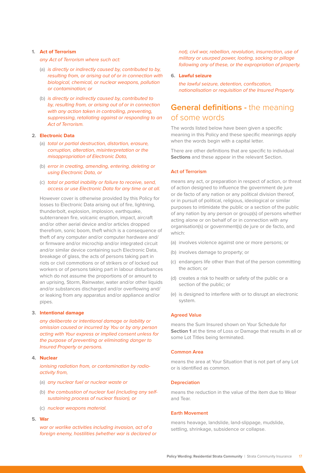#### **1. Act of Terrorism**

any Act of Terrorism where such act:

- (a) is directly or indirectly caused by, contributed to by, resulting from, or arising out of or in connection with biological, chemical, or nuclear weapons, pollution or contamination; or
- (b) is directly or indirectly caused by, contributed to by, resulting from, or arising out of or in connection with any action taken in controlling, preventing, suppressing, retaliating against or responding to an Act of Terrorism.

#### **2. Electronic Data**

- (a) total or partial destruction, distortion, erasure, corruption, alteration, misinterpretation or the misappropriation of Electronic Data,
- (b) error in creating, amending, entering, deleting or using Electronic Data, or
- (c) total or partial inability or failure to receive, send, access or use Electronic Data for any time or at all.

However cover is otherwise provided by this Policy for losses to Electronic Data arising out of fire, lightning, thunderbolt, explosion, implosion, earthquake, subterranean fire, volcanic eruption, impact, aircraft and/or other aerial device and/or articles dropped therefrom, sonic boom, theft which is a consequence of theft of any computer and/or computer hardware and/ or firmware and/or microchip and/or integrated circuit and/or similar device containing such Electronic Data, breakage of glass, the acts of persons taking part in riots or civil commotions or of strikers or of locked out workers or of persons taking part in labour disturbances which do not assume the proportions of or amount to an uprising, Storm, Rainwater, water and/or other liquids and/or substances discharged and/or overflowing and/ or leaking from any apparatus and/or appliance and/or pipes.

#### **3. Intentional damage**

any deliberate or intentional damage or liability or omission caused or incurred by You or by any person acting with Your express or implied consent unless for the purpose of preventing or eliminating danger to Insured Property or persons.

#### **4. Nuclear**

ionising radiation from, or contamination by radioactivity from,

- (a) any nuclear fuel or nuclear waste or
- (b) the combustion of nuclear fuel (including any selfsustaining process of nuclear fission), or
- (c) nuclear weapons material.
- **5. War**

war or warlike activities including invasion, act of a foreign enemy, hostilities (whether war is declared or not), civil war, rebellion, revolution, insurrection, use of military or usurped power, looting, sacking or pillage following any of these, or the expropriation of property.

#### **6. Lawful seizure**

the lawful seizure, detention, confiscation, nationalisation or requisition of the Insured Property.

# **General definitions -** the meaning of some words

The words listed below have been given a specific meaning in this Policy and these specific meanings apply when the words begin with a capital letter.

There are other definitions that are specific to individual **Sections** and these appear in the relevant Section.

### **Act of Terrorism**

means any act, or preparation in respect of action, or threat of action designed to influence the government de jure or de facto of any nation or any political division thereof, or in pursuit of political, religious, ideological or similar purposes to intimidate the public or a section of the public of any nation by any person or group(s) of persons whether acting alone or on behalf of or in connection with any organisation(s) or government(s) de jure or de facto, and which:

- (a) involves violence against one or more persons; or
- (b) involves damage to property; or
- (c) endangers life other than that of the person committing the action; or
- (d) creates a risk to health or safety of the public or a section of the public; or
- (e) is designed to interfere with or to disrupt an electronic system.

#### **Agreed Value**

means the Sum Insured shown on Your Schedule for **Section 1** at the time of Loss or Damage that results in all or some Lot Titles being terminated.

#### **Common Area**

means the area at Your Situation that is not part of any Lot or is identified as common.

#### **Depreciation**

means the reduction in the value of the item due to Wear and Tear.

#### **Earth Movement**

means heavage, landslide, land-slippage, mudslide, settling, shrinkage, subsidence or collapse.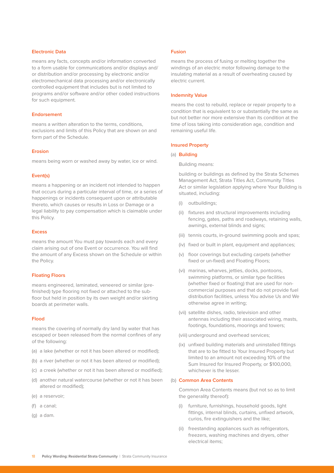#### **Electronic Data**

means any facts, concepts and/or information converted to a form usable for communications and/or displays and/ or distribution and/or processing by electronic and/or electromechanical data processing and/or electronically controlled equipment that includes but is not limited to programs and/or software and/or other coded instructions for such equipment.

#### **Endorsement**

means a written alteration to the terms, conditions, exclusions and limits of this Policy that are shown on and form part of the Schedule.

#### **Erosion**

means being worn or washed away by water, ice or wind.

#### **Event(s)**

means a happening or an incident not intended to happen that occurs during a particular interval of time, or a series of happenings or incidents consequent upon or attributable thereto, which causes or results in Loss or Damage or a legal liability to pay compensation which is claimable under this Policy.

#### **Excess**

means the amount You must pay towards each and every claim arising out of one Event or occurrence. You will find the amount of any Excess shown on the Schedule or within the Policy.

#### **Floating Floors**

means engineered, laminated, veneered or similar (prefinished) type flooring not fixed or attached to the subfloor but held in position by its own weight and/or skirting boards at perimeter walls.

#### **Flood**

means the covering of normally dry land by water that has escaped or been released from the normal confines of any of the following:

- (a) a lake (whether or not it has been altered or modified);
- (b) a river (whether or not it has been altered or modified);
- (c) a creek (whether or not it has been altered or modified);
- (d) another natural watercourse (whether or not it has been altered or modified);
- (e) a reservoir;
- (f) a canal;
- (g) a dam.

#### **Fusion**

means the process of fusing or melting together the windings of an electric motor following damage to the insulating material as a result of overheating caused by electric current.

#### **Indemnity Value**

means the cost to rebuild, replace or repair property to a condition that is equivalent to or substantially the same as but not better nor more extensive than its condition at the time of loss taking into consideration age, condition and remaining useful life.

#### **Insured Property**

#### (a) **Building**

Building means:

building or buildings as defined by the Strata Schemes Management Act, Strata Titles Act, Community Titles Act or similar legislation applying where Your Building is situated, including:

- (i) outbuildings;
- (ii) fixtures and structural improvements including fencing, gates, paths and roadways, retaining walls, awnings, external blinds and signs;
- (iii) tennis courts, in-ground swimming pools and spas;
- (iv) fixed or built in plant, equipment and appliances;
- (v) floor coverings but excluding carpets (whether fixed or un-fixed) and Floating Floors;
- (vi) marinas, wharves, jetties, docks, pontoons, swimming platforms, or similar type facilities (whether fixed or floating) that are used for noncommercial purposes and that do not provide fuel distribution facilities, unless You advise Us and We otherwise agree in writing;
- (vii) satellite dishes, radio, television and other antennas including their associated wiring, masts, footings, foundations, moorings and towers;
- (viii) underground and overhead services;
- (ix) unfixed building materials and uninstalled fittings that are to be fitted to Your Insured Property but limited to an amount not exceeding 10% of the Sum Insured for Insured Property, or \$100,000, whichever is the lesser.

#### (b) **Common Area Contents**

Common Area Contents means (but not so as to limit the generality thereof):

- (i) furniture, furnishings, household goods, light fittings, internal blinds, curtains, unfixed artwork, curios, fire extinguishers and the like;
- (ii) freestanding appliances such as refrigerators, freezers, washing machines and dryers, other electrical items;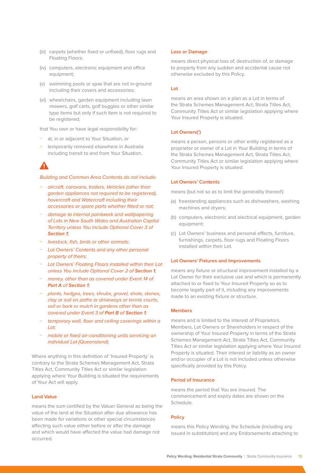- (iii) carpets (whether fixed or unfixed), floor rugs and Floating Floors;
- (iv) computers, electronic equipment and office equipment;
- (v) swimming pools or spas that are not in-ground including their covers and accessories;
- (vi) wheelchairs, garden equipment including lawn mowers, golf carts, golf buggies or other similar type items but only if such item is not required to be registered;

that You own or have legal responsibility for:

- at, in or adjacent to Your Situation, or
- − temporarily removed elsewhere in Australia including transit to and from Your Situation.

Building and Common Area Contents do not include:

- − aircraft, caravans, trailers, Vehicles (other than garden appliances not required to be registered), hovercraft and Watercraft including their accessories or spare parts whether fitted or not;
- − damage to internal paintwork and wallpapering of Lots in New South Wales and Australian Capital Territory unless You include Optional Cover 3 of **Section 1**;
- − livestock, fish, birds or other animals;
- − Lot Owners' Contents and any other personal property of theirs;
- − Lot Owners' Floating Floors installed within their Lot unless You include Optional Cover 2 of **Section 1**;
- − money, other than as covered under Event 14 of **Part A** of **Section 1**;
- − plants, hedges, trees, shrubs, gravel, shale, stones, clay or soil on paths or driveways or tennis courts, soil or bark or mulch in gardens other than as covered under Event 3 of **Part B** of **Section 1**;
- temporary wall, floor and ceiling coverings within a Lot;
- mobile or fixed air-conditioning units servicing an individual Lot (Queensland).

Where anything in this definition of 'Insured Property' is contrary to the Strata Schemes Management Act, Strata Titles Act, Community Titles Act or similar legislation applying where Your Building is situated the requirements of Your Act will apply.

### **Land Value**

means the sum certified by the Valuer General as being the value of the land at the Situation after due allowance has been made for variations or other special circumstances affecting such value either before or after the damage and which would have affected the value had damage not occurred.

#### **Loss or Damage**

means direct physical loss of, destruction of, or damage to property from any sudden and accidental cause not otherwise excluded by this Policy.

#### **Lot**

means an area shown on a plan as a Lot in terms of the Strata Schemes Management Act, Strata Titles Act, Community Titles Act or similar legislation applying where Your Insured Property is situated.

#### **Lot Owners(')**

means a person, persons or other entity registered as a proprietor or owner of a Lot in Your Building in terms of the Strata Schemes Management Act, Strata Titles Act, Community Titles Act or similar legislation applying where Your Insured Property is situated.

#### **Lot Owners' Contents**

means (but not so as to limit the generality thereof):

- (a) freestanding appliances such as dishwashers, washing machines and dryers;
- (b) computers, electronic and electrical equipment, garden equipment;
- (c) Lot Owners' business and personal effects, furniture, furnishings, carpets, floor rugs and Floating Floors installed within their Lot.

#### **Lot Owners' Fixtures and Improvements**

means any fixture or structural improvement installed by a Lot Owner for their exclusive use and which is permanently attached to or fixed to Your Insured Property so as to become legally part of it, including any improvements made to an existing fixture or structure.

#### **Members**

means and is limited to the interest of Proprietors, Members, Lot Owners or Shareholders in respect of the ownership of Your Insured Property in terms of the Strata Schemes Management Act, Strata Titles Act, Community Titles Act or similar legislation applying where Your Insured Property is situated. Their interest or liability as an owner and/or occupier of a Lot is not included unless otherwise specifically provided by this Policy.

#### **Period of Insurance**

means the period that You are insured. The commencement and expiry dates are shown on the Schedule.

#### **Policy**

means this Policy Wording, the Schedule (including any issued in substitution) and any Endorsements attaching to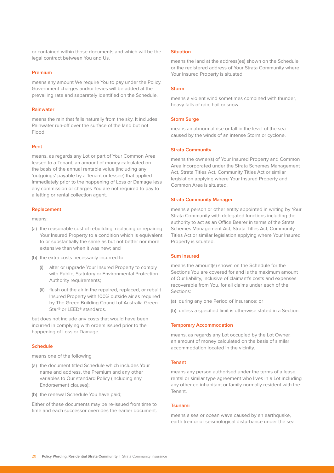or contained within those documents and which will be the legal contract between You and Us.

#### **Premium**

means any amount We require You to pay under the Policy. Government charges and/or levies will be added at the prevailing rate and separately identified on the Schedule.

#### **Rainwater**

means the rain that falls naturally from the sky. It includes Rainwater run-off over the surface of the land but not Flood.

#### **Rent**

means, as regards any Lot or part of Your Common Area leased to a Tenant, an amount of money calculated on the basis of the annual rentable value (including any 'outgoings' payable by a Tenant or lessee) that applied immediately prior to the happening of Loss or Damage less any commission or charges You are not required to pay to a letting or rental collection agent.

#### **Replacement**

means:

- (a) the reasonable cost of rebuilding, replacing or repairing Your Insured Property to a condition which is equivalent to or substantially the same as but not better nor more extensive than when it was new; and
- (b) the extra costs necessarily incurred to:
	- (i) alter or upgrade Your Insured Property to comply with Public, Statutory or Environmental Protection Authority requirements;
	- (ii) flush out the air in the repaired, replaced, or rebuilt Insured Property with 100% outside air as required by The Green Building Council of Australia Green Star® or LEED® standards.

but does not include any costs that would have been incurred in complying with orders issued prior to the happening of Loss or Damage.

#### **Schedule**

means one of the following

- (a) the document titled Schedule which includes Your name and address, the Premium and any other variables to Our standard Policy (including any Endorsement clauses);
- (b) the renewal Schedule You have paid;

Either of these documents may be re-issued from time to time and each successor overrides the earlier document.

#### **Situation**

means the land at the address(es) shown on the Schedule or the registered address of Your Strata Community where Your Insured Property is situated.

#### **Storm**

means a violent wind sometimes combined with thunder, heavy falls of rain, hail or snow.

#### **Storm Surge**

means an abnormal rise or fall in the level of the sea caused by the winds of an intense Storm or cyclone.

#### **Strata Community**

means the owner(s) of Your Insured Property and Common Area incorporated under the Strata Schemes Management Act, Strata Titles Act, Community Titles Act or similar legislation applying where Your Insured Property and Common Area is situated.

#### **Strata Community Manager**

means a person or other entity appointed in writing by Your Strata Community with delegated functions including the authority to act as an Office Bearer in terms of the Strata Schemes Management Act, Strata Titles Act, Community Titles Act or similar legislation applying where Your Insured Property is situated.

#### **Sum Insured**

means the amount(s) shown on the Schedule for the Sections You are covered for and is the maximum amount of Our liability, inclusive of claimant's costs and expenses recoverable from You, for all claims under each of the Sections:

- (a) during any one Period of Insurance; or
- (b) unless a specified limit is otherwise stated in a Section.

#### **Temporary Accommodation**

means, as regards any Lot occupied by the Lot Owner, an amount of money calculated on the basis of similar accommodation located in the vicinity.

#### **Tenant**

means any person authorised under the terms of a lease, rental or similar type agreement who lives in a Lot including any other co-inhabitant or family normally resident with the Tenant.

#### **Tsunami**

means a sea or ocean wave caused by an earthquake, earth tremor or seismological disturbance under the sea.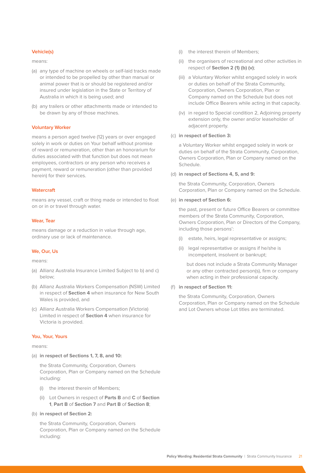#### **Vehicle(s)**

means:

- (a) any type of machine on wheels or self-laid tracks made or intended to be propelled by other than manual or animal power that is or should be registered and/or insured under legislation in the State or Territory of Australia in which it is being used; and
- (b) any trailers or other attachments made or intended to be drawn by any of those machines.

#### **Voluntary Worker**

means a person aged twelve (12) years or over engaged solely in work or duties on Your behalf without promise of reward or remuneration, other than an honorarium for duties associated with that function but does not mean employees, contractors or any person who receives a payment, reward or remuneration (other than provided herein) for their services.

#### **Watercraft**

means any vessel, craft or thing made or intended to float on or in or travel through water.

#### **Wear, Tear**

means damage or a reduction in value through age, ordinary use or lack of maintenance.

## **We, Our, Us**

means:

- (a) Allianz Australia Insurance Limited Subject to b) and c) below;
- (b) Allianz Australia Workers Compensation (NSW) Limited in respect of **Section 4** when insurance for New South Wales is provided, and
- (c) Allianz Australia Workers Compensation (Victoria) Limited in respect of **Section 4** when insurance for Victoria is provided.

#### **You, Your, Yours**

means:

(a) **in respect of Sections 1, 7, 8, and 10:**

the Strata Community, Corporation, Owners Corporation, Plan or Company named on the Schedule including:

- (i) the interest therein of Members;
- (ii) Lot Owners in respect of **Parts B** and **C** of **Section 1**, **Part B** of **Section 7** and **Part B** of **Section 8**;
- (b) **in respect of Section 2:**

the Strata Community, Corporation, Owners Corporation, Plan or Company named on the Schedule including:

- (i) the interest therein of Members;
- (ii) the organisers of recreational and other activities in respect of **Section 2 (1) (b) (v)**;
- (iii) a Voluntary Worker whilst engaged solely in work or duties on behalf of the Strata Community, Corporation, Owners Corporation, Plan or Company named on the Schedule but does not include Office Bearers while acting in that capacity.
- (iv) in regard to Special condition 2, Adjoining property extension only, the owner and/or leaseholder of adjacent property.

#### (c) **in respect of Section 3:**

a Voluntary Worker whilst engaged solely in work or duties on behalf of the Strata Community, Corporation, Owners Corporation, Plan or Company named on the Schedule.

#### (d) **in respect of Sections 4, 5, and 9:**

the Strata Community, Corporation, Owners Corporation, Plan or Company named on the Schedule.

#### (e) **in respect of Section 6:**

the past, present or future Office Bearers or committee members of the Strata Community, Corporation, Owners Corporation, Plan or Directors of the Company, including those persons':

- (i) estate, heirs, legal representative or assigns;
- (ii) legal representative or assigns if he/she is incompetent, insolvent or bankrupt;

but does not include a Strata Community Manager or any other contracted person(s), firm or company when acting in their professional capacity.

(f) **in respect of Section 11:**

the Strata Community, Corporation, Owners Corporation, Plan or Company named on the Schedule and Lot Owners whose Lot titles are terminated.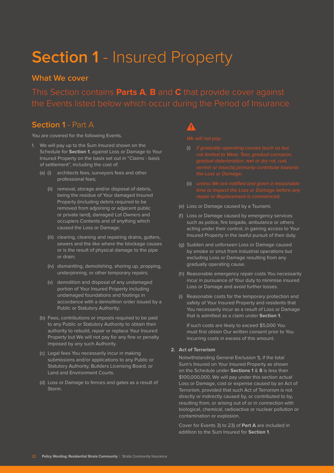# **Section 1** - Insured Property

# **What We cover**

This Section contains **Parts A**, **B** and **C** that provide cover against

# **Section 1** - Part A

You are covered for the following Events.

- 1. We will pay up to the Sum Insured shown on the Schedule for **Section 1**, against Loss or Damage to Your Insured Property on the basis set out in "Claims - basis of settlement", including the cost of:
	- (a) (i) architects fees, surveyors fees and other professional fees;
		- (ii) removal, storage and/or disposal of debris, being the residue of Your damaged Insured Property (including debris required to be removed from adjoining or adjacent public or private land), damaged Lot Owners and occupiers Contents and of anything which caused the Loss or Damage;
		- (iii) clearing, cleaning and repairing drains, gutters, sewers and the like where the blockage causes or is the result of physical damage to the pipe or drain;
		- (iv) dismantling, demolishing, shoring up, propping, underpinning, or other temporary repairs;
		- (v) demolition and disposal of any undamaged portion of Your Insured Property including undamaged foundations and footings in accordance with a demolition order issued by a Public or Statutory Authority;
	- (b) Fees, contributions or imposts required to be paid to any Public or Statutory Authority to obtain their authority to rebuild, repair or replace Your Insured Property but We will not pay for any fine or penalty imposed by any such Authority.
	- (c) Legal fees You necessarily incur in making submissions and/or applications to any Public or Statutory Authority, Builders Licensing Board, or Land and Environment Courts.
	- (d) Loss or Damage to fences and gates as a result of Storm.

- (i) if gradually operating causes (such as but
- 
- (e) Loss or Damage caused by a Tsunami.
- (f) Loss or Damage caused by emergency services such as police, fire brigade, ambulance or others acting under their control, in gaining access to Your Insured Property in the lawful pursuit of their duty.
- (g) Sudden and unforseen Loss or Damage caused by smoke or smut from industrial operations but excluding Loss or Damage resulting from any gradually operating cause.
- (h) Reasonable emergency repair costs You necessarily incur in pursuance of Your duty to minimise insured Loss or Damage and avoid further losses.
- (i) Reasonable costs for the temporary protection and safety of Your Insured Property and residents that You necessarily incur as a result of Loss or Damage that is admitted as a claim under **Section 1**.

If such costs are likely to exceed \$5,000 You must first obtain Our written consent prior to You incurring costs in excess of this amount.

#### **2. Act of Terrorism**

Notwithstanding General Exclusion 1), if the total Sum's Insured on Your Insured Property as shown on the Schedule under **Sections 1** & **8** is less than \$100,000,000, We will pay under this section actual Loss or Damage, cost or expense caused by an Act of Terrorism, provided that such Act of Terrorism is not directly or indirectly caused by, or contributed to by, resulting from, or arising out of or in connection with biological, chemical, radioactive or nuclear pollution or contamination or explosion.

Cover for Events 3) to 23) of **Part A** are included in addition to the Sum Insured for **Section 1**.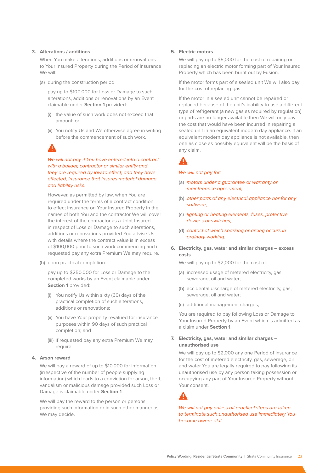#### **3. Alterations / additions**

When You make alterations, additions or renovations to Your Insured Property during the Period of Insurance We will:

(a) during the construction period:

pay up to \$100,000 for Loss or Damage to such alterations, additions or renovations by an Event claimable under **Section 1** provided:

- (i) the value of such work does not exceed that amount; or
- (ii) You notify Us and We otherwise agree in writing before the commencement of such work.

We will not pay if You have entered into a contract with a builder, contractor or similar entity and they are required by law to effect, and they have effected, insurance that insures material damage and liability risks.

However, as permitted by law, when You are required under the terms of a contract condition to effect insurance on Your Insured Property in the names of both You and the contractor We will cover the interest of the contractor as a Joint Insured in respect of Loss or Damage to such alterations, additions or renovations provided You advise Us with details where the contract value is in excess of \$100,000 prior to such work commencing and if requested pay any extra Premium We may require.

(b) upon practical completion:

pay up to \$250,000 for Loss or Damage to the completed works by an Event claimable under **Section 1** provided:

- (i) You notify Us within sixty (60) days of the practical completion of such alterations, additions or renovations;
- (ii) You have Your property revalued for insurance purposes within 90 days of such practical completion; and
- (iii) if requested pay any extra Premium We may require.

### **4. Arson reward**

We will pay a reward of up to \$10,000 for information (irrespective of the number of people supplying information) which leads to a conviction for arson, theft, vandalism or malicious damage provided such Loss or Damage is claimable under **Section 1**.

We will pay the reward to the person or persons providing such information or in such other manner as We may decide.

#### **5. Electric motors**

We will pay up to \$5,000 for the cost of repairing or replacing an electric motor forming part of Your Insured Property which has been burnt out by Fusion.

If the motor forms part of a sealed unit We will also pay for the cost of replacing gas.

If the motor in a sealed unit cannot be repaired or replaced because of the unit's inability to use a different type of refrigerant (a new gas as required by regulation) or parts are no longer available then We will only pay the cost that would have been incurred in repairing a sealed unit in an equivalent modern day appliance. If an equivalent modern day appliance is not available, then one as close as possibly equivalent will be the basis of any claim.

#### We will not pay for:

- (a) motors under a guarantee or warranty or maintenance agreement;
- (b) other parts of any electrical appliance nor for any software;
- (c) lighting or heating elements, fuses, protective devices or switches;
- (d) contact at which sparking or arcing occurs in ordinary working.
- **6. Electricity, gas, water and similar charges excess costs**

We will pay up to \$2,000 for the cost of:

- (a) increased usage of metered electricity, gas, sewerage, oil and water;
- (b) accidental discharge of metered electricity, gas, sewerage, oil and water;
- (c) additional management charges;

You are required to pay following Loss or Damage to Your Insured Property by an Event which is admitted as a claim under **Section 1**.

**7. Electricity, gas, water and similar charges – unauthorised use**

We will pay up to \$2,000 any one Period of Insurance for the cost of metered electricity, gas, sewerage, oil and water You are legally required to pay following its unauthorised use by any person taking possession or occupying any part of Your Insured Property without Your consent.



We will not pay unless all practical steps are taken to terminate such unauthorised use immediately You become aware of it.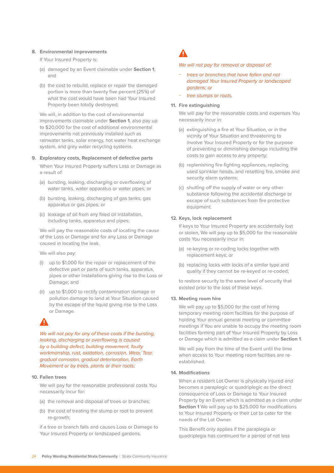#### **8. Environmental improvements**

If Your Insured Property is:

- (a) damaged by an Event claimable under **Section 1**; and
- (b) the cost to rebuild, replace or repair the damaged portion is more than twenty five percent (25%) of what the cost would have been had Your Insured Property been totally destroyed;

We will, in addition to the cost of environmental improvements claimable under **Section 1**, also pay up to \$20,000 for the cost of additional environmental improvements not previously installed such as rainwater tanks, solar energy, hot water heat exchange system, and grey water recycling systems.

#### **9. Exploratory costs, Replacement of defective parts**

When Your Insured Property suffers Loss or Damage as a result of:

- (a) bursting, leaking, discharging or overflowing of water tanks, water apparatus or water pipes; or
- (b) bursting, leaking, discharging of gas tanks, gas apparatus or gas pipes; or
- (c) leakage of oil from any fixed oil installation, including tanks, apparatus and pipes;

We will pay the reasonable costs of locating the cause of the Loss or Damage and for any Loss or Damage caused in locating the leak.

We will also pay:

- (i) up to \$1,000 for the repair or replacement of the defective part or parts of such tanks, apparatus, pipes or other installations giving rise to the Loss or Damage; and
- (ii) up to \$1,000 to rectify contamination damage or pollution damage to land at Your Situation caused by the escape of the liquid giving rise to the Loss or Damage.

We will not pay for any of these costs if the bursting, leaking, discharging or overflowing is caused by a building defect, building movement, faulty workmanship, rust, oxidation, corrosion, Wear, Tear, gradual corrosion, gradual deterioration, Earth Movement or by trees, plants or their roots;

### **10. Fallen trees**

We will pay for the reasonable professional costs You necessarily incur for:

- (a) the removal and disposal of trees or branches;
- (b) the cost of treating the stump or root to prevent re-growth;

if a tree or branch falls and causes Loss or Damage to Your Insured Property or landscaped gardens.

### We will not pay for removal or disposal of:

- − trees or branches that have fallen and not damaged Your Insured Property or landscaped gardens; or
- tree stumps or roots.

#### **11. Fire extinguishing**

We will pay for the reasonable costs and expenses You necessarily incur in:

- (a) extinguishing a fire at Your Situation, or in the vicinity of Your Situation and threatening to involve Your Insured Property or for the purpose of preventing or diminishing damage including the costs to gain access to any property;
- (b) replenishing fire fighting appliances, replacing used sprinkler heads, and resetting fire, smoke and security alarm systems;
- (c) shutting off the supply of water or any other substance following the accidental discharge or escape of such substances from fire protective equipment.

### **12. Keys, lock replacement**

If keys to Your Insured Property are accidentally lost or stolen, We will pay up to \$5,000 for the reasonable costs You necessarily incur in:

- (a) re-keying or re-coding locks together with replacement keys; or
- (b) replacing locks with locks of a similar type and quality if they cannot be re-keyed or re-coded;

to restore security to the same level of security that existed prior to the loss of these keys.

#### **13. Meeting room hire**

We will pay up to \$5,000 for the cost of hiring temporary meeting room facilities for the purpose of holding Your annual general meeting or committee meetings if You are unable to occupy the meeting room facilities forming part of Your Insured Property by Loss or Damage which is admitted as a claim under **Section 1**.

We will pay from the time of the Event until the time when access to Your meeting room facilities are reestablished.

#### **14. Modifications**

When a resident Lot Owner is physically injured and becomes a paraplegic or quadriplegic as the direct consequence of Loss or Damage to Your Insured Property by an Event which is admitted as a claim under **Section 1** We will pay up to \$25,000 for modifications to Your Insured Property or their Lot to cater for the needs of the Lot Owner.

This Benefit only applies if the paraplegia or quadriplegia has continued for a period of not less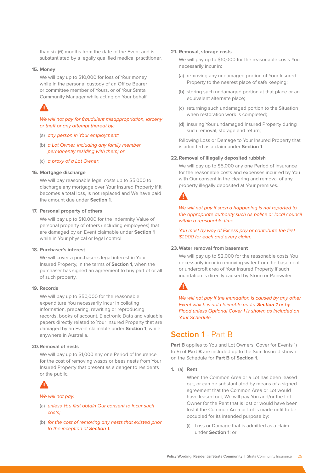than six (6) months from the date of the Event and is substantiated by a legally qualified medical practitioner.

#### **15. Money**

We will pay up to \$10,000 for loss of Your money while in the personal custody of an Office Bearer or committee member of Yours, or of Your Strata Community Manager while acting on Your behalf.

# $\blacktriangle$

### We will not pay for fraudulent misappropriation, larceny or theft or any attempt thereat by:

- (a) any person in Your employment;
- (b) a Lot Owner, including any family member permanently residing with them; or
- (c) a proxy of a Lot Owner.

#### **16. Mortgage discharge**

We will pay reasonable legal costs up to \$5,000 to discharge any mortgage over Your Insured Property if it becomes a total loss, is not replaced and We have paid the amount due under **Section 1**.

#### **17. Personal property of others**

We will pay up to \$10,000 for the Indemnity Value of personal property of others (including employees) that are damaged by an Event claimable under **Section 1** while in Your physical or legal control.

#### **18. Purchaser's interest**

We will cover a purchaser's legal interest in Your Insured Property, in the terms of **Section 1**, when the purchaser has signed an agreement to buy part of or all of such property.

#### **19. Records**

We will pay up to \$50,000 for the reasonable expenditure You necessarily incur in collating information, preparing, rewriting or reproducing records, books of account, Electronic Data and valuable papers directly related to Your Insured Property that are damaged by an Event claimable under **Section 1**, while anywhere in Australia.

#### **20.Removal of nests**

We will pay up to \$1,000 any one Period of Insurance for the cost of removing wasps or bees nests from Your Insured Property that present as a danger to residents or the public.

### We will not pay:

- (a) unless You first obtain Our consent to incur such costs;
- (b) for the cost of removing any nests that existed prior to the inception of **Section 1**.

#### **21. Removal, storage costs**

We will pay up to \$10,000 for the reasonable costs You necessarily incur in:

- (a) removing any undamaged portion of Your Insured Property to the nearest place of safe keeping;
- (b) storing such undamaged portion at that place or an equivalent alternate place;
- (c) returning such undamaged portion to the Situation when restoration work is completed;
- (d) insuring Your undamaged Insured Property during such removal, storage and return;

following Loss or Damage to Your Insured Property that is admitted as a claim under **Section 1**.

## **22.Removal of illegally deposited rubbish**

We will pay up to \$5,000 any one Period of Insurance for the reasonable costs and expenses incurred by You with Our consent in the clearing and removal of any property illegally deposited at Your premises.



We will not pay if such a happening is not reported to the appropriate authority such as police or local council within a reasonable time.

You must by way of Excess pay or contribute the first \$1,000 for each and every claim.

#### **23.Water removal from basement**

We will pay up to \$2,000 for the reasonable costs You necessarily incur in removing water from the basement or undercroft area of Your Insured Property if such inundation is directly caused by Storm or Rainwater.

We will not pay if the inundation is caused by any other Event which is not claimable under **Section 1** or by Flood unless Optional Cover 1 is shown as included on Your Schedule.

# **Section 1** - Part B

Part **B** applies to You and Lot Owners. Cover for Events 1) to 5) of **Part B** are included up to the Sum Insured shown on the Schedule for **Part B** of **Section 1**.

**1.** (a) **Rent**

When the Common Area or a Lot has been leased out, or can be substantiated by means of a signed agreement that the Common Area or Lot would have leased out, We will pay You and/or the Lot Owner for the Rent that is lost or would have been lost if the Common Area or Lot is made unfit to be occupied for its intended purpose by:

(i) Loss or Damage that is admitted as a claim under **Section 1**; or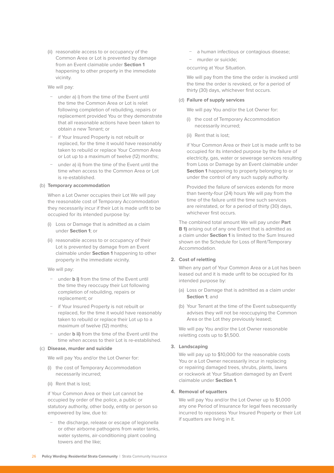(ii) reasonable access to or occupancy of the Common Area or Lot is prevented by damage from an Event claimable under **Section 1** happening to other property in the immediate vicinity.

We will pay:

- − under a) i) from the time of the Event until the time the Common Area or Lot is relet following completion of rebuilding, repairs or replacement provided You or they demonstrate that all reasonable actions have been taken to obtain a new Tenant; or
- − if Your Insured Property is not rebuilt or replaced, for the time it would have reasonably taken to rebuild or replace Your Common Area or Lot up to a maximum of twelve (12) months;
- under a) ii) from the time of the Event until the time when access to the Common Area or Lot is re-established.

#### (b) **Temporary accommodation**

When a Lot Owner occupies their Lot We will pay the reasonable cost of Temporary Accommodation they necessarily incur if their Lot is made unfit to be occupied for its intended purpose by:

- (i) Loss or Damage that is admitted as a claim under **Section 1**; or
- (ii) reasonable access to or occupancy of their Lot is prevented by damage from an Event claimable under **Section 1** happening to other property in the immediate vicinity.

We will pay:

- − under **b i)** from the time of the Event until the time they reoccupy their Lot following completion of rebuilding, repairs or replacement; or
- − if Your Insured Property is not rebuilt or replaced, for the time it would have reasonably taken to rebuild or replace their Lot up to a maximum of twelve (12) months;
- under **b ii)** from the time of the Event until the time when access to their Lot is re-established.

#### (c) **Disease, murder and suicide**

We will pay You and/or the Lot Owner for:

- (i) the cost of Temporary Accommodation necessarily incurred;
- (ii) Rent that is lost;

if Your Common Area or their Lot cannot be occupied by order of the police, a public or statutory authority, other body, entity or person so empowered by law, due to:

the discharge, release or escape of legionella or other airborne pathogens from water tanks, water systems, air-conditioning plant cooling towers and the like;

- − a human infectious or contagious disease;
- − murder or suicide;

occurring at Your Situation.

We will pay from the time the order is invoked until the time the order is revoked, or for a period of thirty (30) days, whichever first occurs.

#### (d) **Failure of supply services**

We will pay You and/or the Lot Owner for:

- (i) the cost of Temporary Accommodation necessarily incurred;
- (ii) Rent that is lost;

if Your Common Area or their Lot is made unfit to be occupied for its intended purpose by the failure of electricity, gas, water or sewerage services resulting from Loss or Damage by an Event claimable under **Section 1** happening to property belonging to or under the control of any such supply authority.

Provided the failure of services extends for more than twenty-four (24) hours We will pay from the time of the failure until the time such services are reinstated, or for a period of thirty (30) days, whichever first occurs.

The combined total amount We will pay under **Part B 1)** arising out of any one Event that is admitted as a claim under **Section 1** is limited to the Sum Insured shown on the Schedule for Loss of Rent/Temporary Accommodation.

#### **2. Cost of reletting**

When any part of Your Common Area or a Lot has been leased out and it is made unfit to be occupied for its intended purpose by:

- (a) Loss or Damage that is admitted as a claim under **Section 1**; and
- (b) Your Tenant at the time of the Event subsequently advises they will not be reoccupying the Common Area or the Lot they previously leased;

We will pay You and/or the Lot Owner reasonable reletting costs up to \$1,500.

### **3. Landscaping**

We will pay up to \$10,000 for the reasonable costs You or a Lot Owner necessarily incur in replacing or repairing damaged trees, shrubs, plants, lawns or rockwork at Your Situation damaged by an Event claimable under **Section 1**.

#### **4. Removal of squatters**

We will pay You and/or the Lot Owner up to \$1,000 any one Period of Insurance for legal fees necessarily incurred to repossess Your Insured Property or their Lot if squatters are living in it.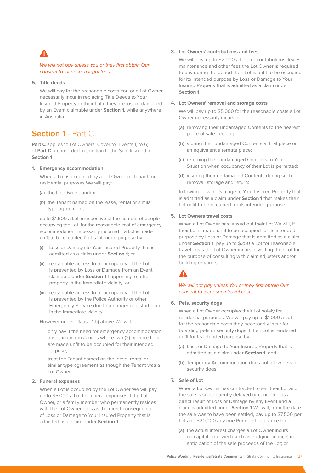

### We will not pay unless You or they first obtain Our consent to incur such legal fees.

## **5. Title deeds**

We will pay for the reasonable costs You or a Lot Owner necessarily incur in replacing Title Deeds to Your Insured Property or their Lot if they are lost or damaged by an Event claimable under **Section 1**, while anywhere in Australia.

# **Section 1** - Part C

Part C applies to Lot Owners. Cover for Events 1) to 6) of **Part C** are included in addition to the Sum Insured for **Section 1**.

#### **1. Emergency accommodation**

When a Lot is occupied by a Lot Owner or Tenant for residential purposes We will pay:

- (a) the Lot Owner; and/or
- (b) the Tenant named on the lease, rental or similar type agreement;

up to \$1,500 a Lot, irrespective of the number of people occupying the Lot, for the reasonable cost of emergency accommodation necessarily incurred if a Lot is made unfit to be occupied for its intended purpose by:

- (i) Loss or Damage to Your Insured Property that is admitted as a claim under **Section 1**; or
- (ii) reasonable access to or occupancy of the Lot is prevented by Loss or Damage from an Event claimable under **Section 1** happening to other property in the immediate vicinity; or
- (iii) reasonable access to or occupancy of the Lot is prevented by the Police Authority or other Emergency Service due to a danger or disturbance in the immediate vicinity.

However under Clause 1 b) above We will:

- − only pay if the need for emergency accommodation arises in circumstances where two (2) or more Lots are made unfit to be occupied for their intended purpose;
- treat the Tenant named on the lease, rental or similar type agreement as though the Tenant was a Lot Owner.

#### **2. Funeral expenses**

When a Lot is occupied by the Lot Owner We will pay up to \$5,000 a Lot for funeral expenses if the Lot Owner, or a family member who permanently resides with the Lot Owner, dies as the direct consequence of Loss or Damage to Your Insured Property that is admitted as a claim under **Section 1**.

#### **3. Lot Owners' contributions and fees**

We will pay, up to \$2,000 a Lot, for contributions, levies, maintenance and other fees the Lot Owner is required to pay during the period their Lot is unfit to be occupied for its intended purpose by Loss or Damage to Your Insured Property that is admitted as a claim under **Section 1**.

#### **4. Lot Owners' removal and storage costs**

We will pay up to \$5,000 for the reasonable costs a Lot Owner necessarily incurs in:

- (a) removing their undamaged Contents to the nearest place of safe keeping;
- (b) storing their undamaged Contents at that place or an equivalent alternate place;
- (c) returning their undamaged Contents to Your Situation when occupancy of their Lot is permitted;
- (d) insuring their undamaged Contents during such removal, storage and return;

following Loss or Damage to Your Insured Property that is admitted as a claim under **Section 1** that makes their Lot unfit to be occupied for its intended purpose.

#### **5. Lot Owners travel costs**

When a Lot Owner has leased out their Lot We will, if their Lot is made unfit to be occupied for its intended purpose by Loss or Damage that is admitted as a claim under **Section 1**, pay up to \$250 a Lot for reasonable travel costs the Lot Owner incurs in visiting their Lot for the purpose of consulting with claim adjusters and/or building repairers.

## We will not pay unless You or they first obtain Our consent to incur such travel costs.

#### **6. Pets, security dogs**

When a Lot Owner occupies their Lot solely for residential purposes, We will pay up to \$1,000 a Lot for the reasonable costs they necessarily incur for boarding pets or security dogs if their Lot is rendered unfit for its intended purpose by:

- (a) Loss or Damage to Your Insured Property that is admitted as a claim under **Section 1**; and
- (b) Temporary Accommodation does not allow pets or security dogs.

#### **7. Sale of Lot**

When a Lot Owner has contracted to sell their Lot and the sale is subsequently delayed or cancelled as a direct result of Loss or Damage by any Event and a claim is admitted under **Section 1** We will, from the date the sale was to have been settled, pay up to \$7,500 per Lot and \$20,000 any one Period of Insurance for:

(a) the actual interest charges a Lot Owner incurs on capital borrowed (such as bridging finance) in anticipation of the sale proceeds of the Lot; or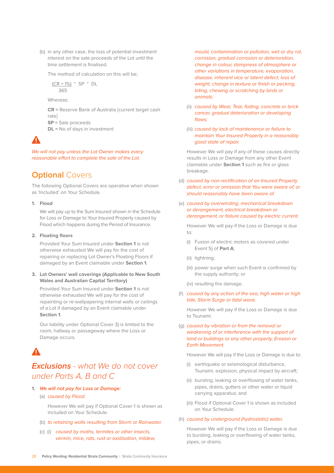(b) in any other case, the loss of potential investment interest on the sale proceeds of the Lot until the time settlement is finalised.

The method of calculation on this will be;

$$
\frac{(CR + 1\%)}{365} * SP * DL
$$

Whereas:

**CR =** Reserve Bank of Australia {current target cash rate}

**SP =** Sale proceeds

**DL =** No of days in investment

We will not pay unless the Lot Owner makes every reasonable effort to complete the sale of the Lot.

# **Optional Covers**

The following Optional Covers are operative when shown as 'Included' on Your Schedule.

### **1. Flood**

We will pay up to the Sum Insured shown in the Schedule for Loss or Damage to Your Insured Property caused by Flood which happens during the Period of Insurance.

#### **2. Floating floors**

Provided Your Sum Insured under **Section 1** is not otherwise exhausted We will pay for the cost of repairing or replacing Lot Owner's Floating Floors if damaged by an Event claimable under **Section 1**.

**3. Lot Owners' wall coverings (Applicable to New South Wales and Australian Capital Territory)**

Provided Your Sum Insured under **Section 1** is not otherwise exhausted We will pay for the cost of repainting or re-wallpapering internal walls or ceilings of a Lot if damaged by an Event claimable under **Section 1**.

Our liability under Optional Cover 3) is limited to the room, hallway or passageway where the Loss or Damage occurs.

# **Exclusions** *- what We do not cover under Parts A, B and C*

- **1. We will not pay for Loss or Damage:**
	- (a) caused by Flood.

However We will pay if Optional Cover 1 is shown as included on Your Schedule.

- (b) to retaining walls resulting from Storm or Rainwater.
- (c) (i) caused by moths, termites or other insects, vermin, mice, rats, rust or oxidisation, mildew,

mould, contamination or pollution, wet or dry rot, corrosion, gradual corrosion or deterioration, change in colour, dampness of atmosphere or other variations in temperature, evaporation, disease, inherent vice or latent defect, loss of weight, change in texture or finish or pecking. biting, chewing or scratching by birds or animals;

- (ii) caused by Wear, Tear, fading, concrete or brick cancer, gradual deterioration or developing flaws;
- (iii) caused by lack of maintenance or failure to maintain Your Insured Property in a reasonably good state of repair.

However We will pay if any of these causes directly results in Loss or Damage from any other Event claimable under **Section 1** such as fire or glass breakage.

- (d) caused by non-rectification of an Insured Property defect, error or omission that You were aware of, or should reasonably have been aware of.
- (e) caused by overwinding, mechanical breakdown or derangement, electrical breakdown or derangement, or failure caused by electric current.

However We will pay if the Loss or Damage is due to:

- (i) Fusion of electric motors as covered under Event 5) of **Part A**;
- (ii) lightning;
- (iii) power surge when such Event is confirmed by the supply authority; or
- (iv) resulting fire damage.
- (f) caused by any action of the sea, high water or high tide, Storm Surge or tidal wave.

However We will pay if the Loss or Damage is due to Tsunami.

(g) caused by vibration or from the removal or weakening of or interference with the support of land or buildings or any other property, Erosion or Earth Movement.

However We will pay if the Loss or Damage is due to:

- (i) earthquake or seismological disturbance, Tsunami, explosion, physical impact by aircraft;
- (ii) bursting, leaking or overflowing of water tanks, pipes, drains, gutters or other water or liquid carrying apparatus; and
- (iii) Flood if Optional Cover 1 is shown as included on Your Schedule.

#### (h) caused by underground (hydrostatic) water.

However We will pay if the Loss or Damage is due to bursting, leaking or overflowing of water tanks, pipes, or drains.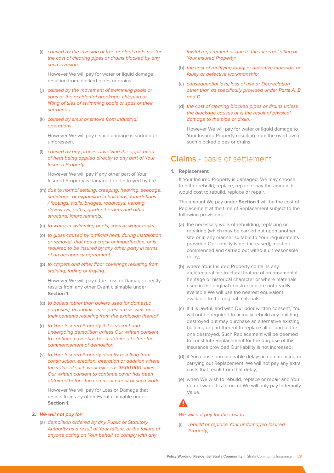(i) caused by the invasion of tree or plant roots nor for the cost of clearing pipes or drains blocked by any such invasion.

However We will pay for water or liquid damage resulting from blocked pipes or drains.

- (j) caused by the movement of swimming pools or spas or the accidental breakage, chipping or lifting of tiles of swimming pools or spas or their surrounds.
- (k) caused by smut or smoke from industrial operations.

However We will pay if such damage is sudden or unforeseen.

(l) caused by any process involving the application of heat being applied directly to any part of Your Insured Property.

However We will pay if any other part of Your Insured Property is damaged or destroyed by fire.

- (m) due to normal settling, creeping, heaving, seepage, shrinkage, or expansion in buildings, foundations / footings, walls, bridges, roadways, kerbing, driveways, paths, garden borders and other structural improvements.
- (n) to water in swimming pools, spas or water tanks.
- (o) to glass caused by artificial heat, during installation or removal, that has a crack or imperfection, or is required to be insured by any other party in terms of an occupancy agreement.
- (p) to carpets and other floor coverings resulting from staining, fading or fraying.

However We will pay if the Loss or Damage directly results from any other Event claimable under **Section 1**.

- (q) to boilers (other than boilers used for domestic purposes), economisers or pressure vessels and their contents resulting from the explosion thereof.
- (r) to Your Insured Property if it is vacant and undergoing demolition unless Our written consent to continue cover has been obtained before the commencement of demolition.
- (s) to Your Insured Property directly resulting from construction, erection, alteration or addition where the value of such work exceeds \$500,000 unless Our written consent to continue cover has been obtained before the commencement of such work.

However We will pay for Loss or Damage that results from any other Event claimable under **Section 1**.

## **2. We will not pay for:**

(a) demolition ordered by any Public or Statutory Authority as a result of Your failure, or the failure of anyone acting on Your behalf, to comply with any

lawful requirement or due to the incorrect siting of Your Insured Property;

- (b) the cost of rectifying faulty or defective materials or faulty or defective workmanship;
- (c) consequential loss, loss of use or Depreciation other than as specifically provided under **Parts A**, **B** and **C**.
- (d) the cost of clearing blocked pipes or drains unless the blockage causes or is the result of physical damage to the pipe or drain.

However We will pay for water or liquid damage to Your Insured Property resulting from the overflow of such blocked pipes or drains.

## **Claims** - basis of settlement

#### **1. Replacement**

If Your Insured Property is damaged, We may choose to either rebuild, replace, repair or pay the amount it would cost to rebuild, replace or repair.

The amount We pay under **Section 1** will be the cost of Replacement at the time of Replacement subject to the following provisions:

- (a) the necessary work of rebuilding, replacing or repairing (which may be carried out upon another site or in any manner suitable to Your requirements provided Our liability is not increased), must be commenced and carried out without unreasonable delay;
- (b) where Your Insured Property contains any architectural or structural feature of an ornamental, heritage or historical character or where materials used in the original construction are not readily available We will use the nearest equivalent available to the original materials;
- (c) if it is lawful, and with Our prior written consent, You will not be required to actually rebuild any building destroyed but may purchase an alternative existing building or part thereof to replace all or part of the one destroyed. Such Replacement will be deemed to constitute Replacement for the purpose of this insurance provided Our liability is not increased;
- (d) if You cause unreasonable delays in commencing or carrying out Replacement, We will not pay any extra costs that result from that delay;
- (e) when We wish to rebuild, replace or repair and You do not want this to occur We will only pay Indemnity Value.

### We will not pay for the cost to:

(i) rebuild or replace Your undamaged Insured Property;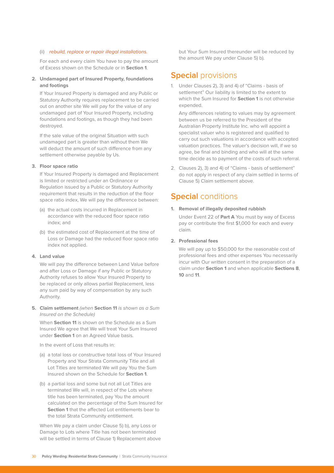#### (ii) rebuild, replace or repair illegal installations.

For each and every claim You have to pay the amount of Excess shown on the Schedule or in **Section 1**.

## **2. Undamaged part of Insured Property, foundations and footings**

If Your Insured Property is damaged and any Public or Statutory Authority requires replacement to be carried out on another site We will pay for the value of any undamaged part of Your Insured Property, including foundations and footings, as though they had been destroyed.

If the sale value of the original Situation with such undamaged part is greater than without them We will deduct the amount of such difference from any settlement otherwise payable by Us.

#### **3. Floor space ratio**

If Your Insured Property is damaged and Replacement is limited or restricted under an Ordinance or Regulation issued by a Public or Statutory Authority requirement that results in the reduction of the floor space ratio index, We will pay the difference between:

- (a) the actual costs incurred in Replacement in accordance with the reduced floor space ratio index; and
- (b) the estimated cost of Replacement at the time of Loss or Damage had the reduced floor space ratio index not applied.

#### **4. Land value**

We will pay the difference between Land Value before and after Loss or Damage if any Public or Statutory Authority refuses to allow Your Insured Property to be replaced or only allows partial Replacement, less any sum paid by way of compensation by any such Authority.

**5. Claim settlement** (when **Section 11** is shown as a Sum Insured on the Schedule)

When **Section 11** is shown on the Schedule as a Sum Insured We agree that We will treat Your Sum Insured under **Section 1** on an Agreed Value basis.

In the event of Loss that results in:

- (a) a total loss or constructive total loss of Your Insured Property and Your Strata Community Title and all Lot Titles are terminated We will pay You the Sum Insured shown on the Schedule for **Section 1**.
- (b) a partial loss and some but not all Lot Titles are terminated We will, in respect of the Lots where title has been terminated, pay You the amount calculated on the percentage of the Sum Insured for **Section 1** that the affected Lot entitlements bear to the total Strata Community entitlement.

When We pay a claim under Clause 5) b), any Loss or Damage to Lots where Title has not been terminated will be settled in terms of Clause 1) Replacement above

but Your Sum Insured thereunder will be reduced by the amount We pay under Clause 5) b).

# **Special** provisions

1. Under Clauses 2), 3) and 4) of "Claims - basis of settlement" Our liability is limited to the extent to which the Sum Insured for **Section 1** is not otherwise expended.

Any differences relating to values may by agreement between us be referred to the President of the Australian Property Institute Inc. who will appoint a specialist valuer who is registered and qualified to carry out such valuations in accordance with accepted valuation practices. The valuer's decision will, if we so agree, be final and binding and who will at the same time decide as to payment of the costs of such referral.

2. Clauses 2), 3) and 4) of "Claims - basis of settlement" do not apply in respect of any claim settled in terms of Clause 5) Claim settlement above.

## **Special** conditions

**1. Removal of illegally deposited rubbish**

Under Event 22 of **Part A** You must by way of Excess pay or contribute the first \$1,000 for each and every claim.

#### **2. Professional fees**

We will pay up to \$50,000 for the reasonable cost of professional fees and other expenses You necessarily incur with Our written consent in the preparation of a claim under **Section 1** and when applicable **Sections 8**, **10** and **11**.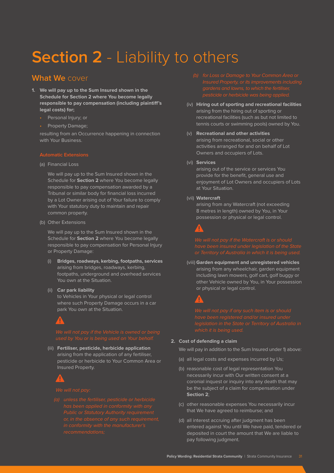# **Section 2** - Liability to others

# **What We** cover

- **1. We will pay up to the Sum Insured shown in the Schedule for Section 2 where You become legally responsible to pay compensation (including plaintiff's legal costs) for;**
	- Personal Injury; or
	- Property Damage;

resulting from an Occurrence happening in connection with Your Business.

## **Automatic Extensions**

(a) Financial Loss

We will pay up to the Sum Insured shown in the Schedule for **Section 2** where You become legally responsible to pay compensation awarded by a Tribunal or similar body for financial loss incurred by a Lot Owner arising out of Your failure to comply with Your statutory duty to maintain and repair common property.

(b) Other Extensions

We will pay up to the Sum Insured shown in the Schedule for **Section 2** where You become legally responsible to pay compensation for Personal Injury or Property Damage:

- (i) **Bridges, roadways, kerbing, footpaths, services** arising from bridges, roadways, kerbing, footpaths, underground and overhead services You own at the Situation.
- (ii) **Car park liability**

to Vehicles in Your physical or legal control where such Property Damage occurs in a car park You own at the Situation.

(iii) **Fertiliser, pesticide, herbicide application** arising from the application of any fertiliser, pesticide or herbicide to Your Common Area or Insured Property.



- 
- (iv) **Hiring out of sporting and recreational facilities** arising from the hiring out of sporting or recreational facilities (such as but not limited to tennis courts or swimming pools) owned by You.

### (v) **Recreational and other activities** arising from recreational, social or other activities arranged for and on behalf of Lot Owners and occupiers of Lots.

(vi) **Services**

arising out of the service or services You provide for the benefit, general use and enjoyment of Lot Owners and occupiers of Lots at Your Situation.

#### (vii) **Watercraft**

arising from any Watercraft (not exceeding 8 metres in length) owned by You, in Your possession or physical or legal control.

(viii) **Garden equipment and unregistered vehicles** arising from any wheelchair, garden equipment including lawn mowers, golf cart, golf buggy or other Vehicle owned by You, in Your possession or physical or legal control.

## **2. Cost of defending a claim**

We will pay in addition to the Sum Insured under 1) above:

- (a) all legal costs and expenses incurred by Us;
- (b) reasonable cost of legal representation You necessarily incur with Our written consent at a coronial inquest or inquiry into any death that may be the subject of a claim for compensation under **Section 2**;
- (c) other reasonable expenses You necessarily incur that We have agreed to reimburse; and
- (d) all interest accruing after judgment has been entered against You until We have paid, tendered or deposited in court the amount that We are liable to pay following judgment.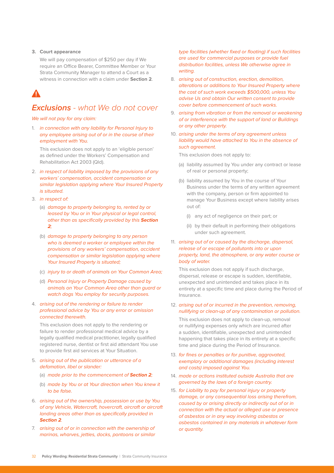#### **3. Court appearance**

We will pay compensation of \$250 per day if We require an Office Bearer, Committee Member or Your Strata Community Manager to attend a Court as a witness in connection with a claim under **Section 2**.

# **Exclusions** *- what We do not cover*

We will not pay for any claim:

1. in connection with any liability for Personal Injury to any employee arising out of or in the course of their employment with You.

This exclusion does not apply to an 'eligible person' as defined under the Workers' Compensation and Rehabilitation Act 2003 (Qld).

- 2. in respect of liability imposed by the provisions of any workers' compensation, accident compensation or similar legislation applying where Your Insured Property is situated.
- 3. in respect of:
	- (a) damage to property belonging to, rented by or leased by You or in Your physical or legal control, other than as specifically provided by this **Section 2**;
	- (b) damage to property belonging to any person who is deemed a worker or employee within the provisions of any workers' compensation, accident compensation or similar legislation applying where Your Insured Property is situated:
	- (c) injury to or death of animals on Your Common Area;
	- (d) Personal Injury or Property Damage caused by animals on Your Common Area other than guard or watch dogs You employ for security purposes.
- 4. arising out of the rendering or failure to render professional advice by You or any error or omission connected therewith.

This exclusion does not apply to the rendering or failure to render professional medical advice by a legally qualified medical practitioner, legally qualified registered nurse, dentist or first aid attendant You use to provide first aid services at Your Situation.

- 5. arising out of the publication or utterance of a defamation, libel or slander:
	- (a) made prior to the commencement of **Section 2**;
	- (b) made by You or at Your direction when You knew it to be false.
- 6. arising out of the ownership, possession or use by You of any Vehicle, Watercraft, hovercraft, aircraft or aircraft landing areas other than as specifically provided in **Section 2**.
- 7. arising out of or in connection with the ownership of marinas, wharves, jetties, docks, pontoons or similar

type facilities (whether fixed or floating) if such facilities are used for commercial purposes or provide fuel distribution facilities, unless We otherwise agree in writing.

- 8. arising out of construction, erection, demolition, alterations or additions to Your Insured Property where the cost of such work exceeds \$500,000, unless You advise Us and obtain Our written consent to provide cover before commencement of such works.
- 9. arising from vibration or from the removal or weakening of or interference with the support of land or Buildings or any other property.
- 10. arising under the terms of any agreement unless liability would have attached to You in the absence of such agreement.

This exclusion does not apply to:

- (a) liability assumed by You under any contract or lease of real or personal property;
- (b) liability assumed by You in the course of Your Business under the terms of any written agreement with the company, person or firm appointed to manage Your Business except where liability arises out of:
	- (i) any act of negligence on their part; or
	- (ii) by their default in performing their obligations under such agreement.

## 11. arising out of or caused by the discharge, dispersal, release of or escape of pollutants into or upon property, land, the atmosphere, or any water course or body of water.

This exclusion does not apply if such discharge, dispersal, release or escape is sudden, identifiable, unexpected and unintended and takes place in its entirety at a specific time and place during the Period of Insurance.

#### 12. arising out of or incurred in the prevention, removing, nullifying or clean-up of any contamination or pollution.

This exclusion does not apply to clean-up, removal or nullifying expenses only which are incurred after a sudden, identifiable, unexpected and unintended happening that takes place in its entirety at a specific time and place during the Period of Insurance.

- 13. for fines or penalties or for punitive, aggravated, exemplary or additional damages (including interest and costs) imposed against You.
- 14. made or actions instituted outside Australia that are governed by the laws of a foreign country.
- 15. for Liability to pay for personal injury or property damage, or any consequential loss arising therefrom, caused by or arising directly or indirectly out of or in connection with the actual or alleged use or presence of asbestos or in any way involving asbestos or asbestos contained in any materials in whatever form or quantity.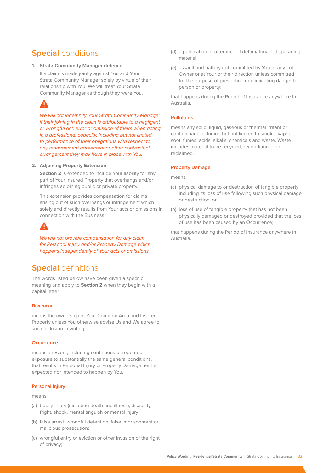# **Special** conditions

#### **1. Strata Community Manager defence**

If a claim is made jointly against You and Your Strata Community Manager solely by virtue of their relationship with You, We will treat Your Strata Community Manager as though they were You.

# Δ

We will not indemnify Your Strata Community Manager if their joining in the claim is attributable to a negligent or wrongful act, error or omission of theirs when acting in a professional capacity, including but not limited to performance of their obligations with respect to any management agreement or other contractual arrangement they may have in place with You.

## **2. Adjoining Property Extension**

**Section 2** is extended to include Your liability for any part of Your Insured Property that overhangs and/or infringes adjoining public or private property.

This extension provides compensation for claims arising out of such overhangs or infringement which solely and directly results from Your acts or omissions in connection with the Business.

We will not provide compensation for any claim for Personal Injury and/or Property Damage which happens independently of Your acts or omissions.

# **Special** definitions

The words listed below have been given a specific meaning and apply to **Section 2** when they begin with a capital letter.

## **Business**

means the ownership of Your Common Area and Insured Property unless You otherwise advise Us and We agree to such inclusion in writing.

#### **Occurrence**

means an Event, including continuous or repeated exposure to substantially the same general conditions, that results in Personal Injury or Property Damage neither expected nor intended to happen by You.

#### **Personal Injury**

means:

- (a) bodily injury (including death and illness), disability, fright, shock, mental anguish or mental injury;
- (b) false arrest, wrongful detention, false imprisonment or malicious prosecution;
- (c) wrongful entry or eviction or other invasion of the right of privacy;
- (d) a publication or utterance of defamatory or disparaging material;
- (e) assault and battery not committed by You or any Lot Owner or at Your or their direction unless committed for the purpose of preventing or eliminating danger to person or property;

that happens during the Period of Insurance anywhere in Australia.

## **Pollutants**

means any solid, liquid, gaseous or thermal irritant or contaminant, including but not limited to smoke, vapour, soot, fumes, acids, alkalis, chemicals and waste. Waste includes material to be recycled, reconditioned or reclaimed.

## **Property Damage**

means:

- (a) physical damage to or destruction of tangible property including its loss of use following such physical damage or destruction; or
- (b) loss of use of tangible property that has not been physically damaged or destroyed provided that the loss of use has been caused by an Occurrence;

that happens during the Period of Insurance anywhere in Australia.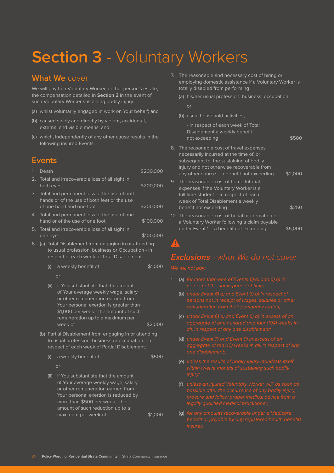# **Section 3** - Voluntary Workers

# **What We** cover

We will pay to a Voluntary Worker, or that person's estate, the compensation detailed in **Section 3** in the event of such Voluntary Worker sustaining bodily injury:

- (a) whilst voluntarily engaged in work on Your behalf; and
- (b) caused solely and directly by violent, accidental, external and visible means; and
- (c) which, independently of any other cause results in the following insured Events.

## **Events**

| 1. | Death     |                                                                                                                                                                                                                                                      | \$200,000 |
|----|-----------|------------------------------------------------------------------------------------------------------------------------------------------------------------------------------------------------------------------------------------------------------|-----------|
| 2. | both eyes | Total and irrecoverable loss of all sight in                                                                                                                                                                                                         | \$200,000 |
| 3. |           | Total and permanent loss of the use of both<br>hands or of the use of both feet or the use<br>of one hand and one foot                                                                                                                               | \$200,000 |
| 4. |           | Total and permanent loss of the use of one<br>hand or of the use of one foot                                                                                                                                                                         | \$100,000 |
| 5. | one eye   | Total and irrecoverable loss of all sight in                                                                                                                                                                                                         | \$100,000 |
| 6. |           | (a) Total Disablement from engaging in or attending<br>to usual profession, business or Occupation - in<br>respect of each week of Total Disablement:                                                                                                |           |
|    | (i)       | a weekly benefit of                                                                                                                                                                                                                                  | \$1,000   |
|    |           | or                                                                                                                                                                                                                                                   |           |
|    | (ii)      | if You substantiate that the amount<br>of Your average weekly wage, salary<br>or other remuneration earned from<br>Your personal exertion is greater than<br>\$1,000 per week - the amount of such<br>remuneration up to a maximum per<br>week of    | \$2,000   |
|    |           | (b) Partial Disablement from engaging in or attending<br>to usual profession, business or occupation - in<br>respect of each week of Partial Disablement:                                                                                            |           |
|    | (i)       | a weekly benefit of                                                                                                                                                                                                                                  | \$500     |
|    |           | or                                                                                                                                                                                                                                                   |           |
|    | (ii)      | if You substantiate that the amount<br>of Your average weekly wage, salary<br>or other remuneration earned from<br>Your personal exertion is reduced by<br>more than \$500 per week - the<br>amount of such reduction up to a<br>maximum per week of | \$1,000   |
|    |           |                                                                                                                                                                                                                                                      |           |

- 7. The reasonable and necessary cost of hiring or employing domestic assistance if a Voluntary Worker is totally disabled from performing
	- (a) his/her usual profession, business, occupation;
		- or
	- (b) usual household activities;

|    | - in respect of each week of Total<br>Disablement a weekly benefit<br>not exceeding                                                                                                                                     | \$500   |
|----|-------------------------------------------------------------------------------------------------------------------------------------------------------------------------------------------------------------------------|---------|
| 8. | The reasonable cost of travel expenses<br>necessarily incurred at the time of, or<br>subsequent to, the sustaining of bodily<br>injury and not otherwise recoverable from<br>any other source – a benefit not exceeding | \$2.000 |
| 9. | The reasonable cost of home tutorial<br>expenses if the Voluntary Worker is a<br>full time student - in respect of each<br>week of Total Disablement a weekly<br>benefit not exceeding                                  | \$250   |
|    | 10. The reasonable cost of burial or cremation of<br>a Voluntary Worker following a claim payable<br>under Event 1 – a benefit not exceeding                                                                            | S5 O    |

# **Exclusions** *- what We do not cover*

- 1. (a) for more than one of Events 6) a) and 6) b) in
	- (b) under Event 6) a) and Event 6) b) in respect of
	-
	- (d) under Event 7) and Event 9) in excess of an
	- (e) unless the results of bodily injury manifests itself
	- (f) unless an injured Voluntary Worker will, as soon as
	- (g) for any amounts recoverable under a Medicare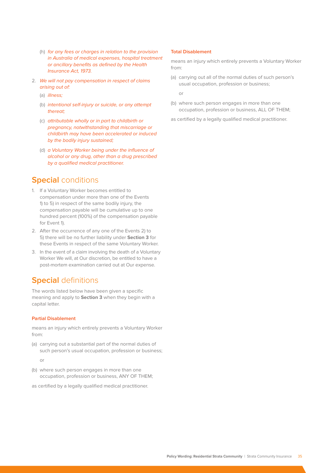- (h) for any fees or charges in relation to the provision in Australia of medical expenses, hospital treatment or ancillary benefits as defined by the Health Insurance Act, 1973.
- 2. We will not pay compensation in respect of claims arising out of:
	- (a) *illness*;
	- (b) intentional self-injury or suicide, or any attempt thereat;
	- (c) attributable wholly or in part to childbirth or pregnancy, notwithstanding that miscarriage or childbirth may have been accelerated or induced by the bodily injury sustained;
	- (d) a Voluntary Worker being under the influence of alcohol or any drug, other than a drug prescribed by a qualified medical practitioner.

# **Special** conditions

- 1. If a Voluntary Worker becomes entitled to compensation under more than one of the Events 1) to 5) in respect of the same bodily injury, the compensation payable will be cumulative up to one hundred percent (100%) of the compensation payable for Event 1).
- 2. After the occurrence of any one of the Events 2) to 5) there will be no further liability under **Section 3** for these Events in respect of the same Voluntary Worker.
- 3. In the event of a claim involving the death of a Voluntary Worker We will, at Our discretion, be entitled to have a post-mortem examination carried out at Our expense.

# **Special** definitions

The words listed below have been given a specific meaning and apply to **Section 3** when they begin with a capital letter.

#### **Partial Disablement**

means an injury which entirely prevents a Voluntary Worker from:

(a) carrying out a substantial part of the normal duties of such person's usual occupation, profession or business;

or

- (b) where such person engages in more than one occupation, profession or business, ANY OF THEM;
- as certified by a legally qualified medical practitioner.

## **Total Disablement**

means an injury which entirely prevents a Voluntary Worker from:

(a) carrying out all of the normal duties of such person's usual occupation, profession or business;

or

(b) where such person engages in more than one occupation, profession or business, ALL OF THEM;

as certified by a legally qualified medical practitioner.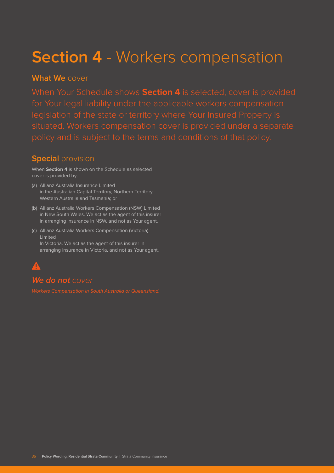# **Section 4** - Workers compensation

# **What We** cover

When Your Schedule shows **Section 4** is selected, cover is provided

# **Special** provision

When **Section 4** is shown on the Schedule as selected cover is provided by:

- (a) Allianz Australia Insurance Limited in the Australian Capital Territory, Northern Territory, Western Australia and Tasmania; or
- (b) Allianz Australia Workers Compensation (NSW) Limited in New South Wales. We act as the agent of this insurer in arranging insurance in NSW, and not as Your agent.
- (c) Allianz Australia Workers Compensation (Victoria) Limited In Victoria. We act as the agent of this insurer in

arranging insurance in Victoria, and not as Your agent.

# **We do not** *cover*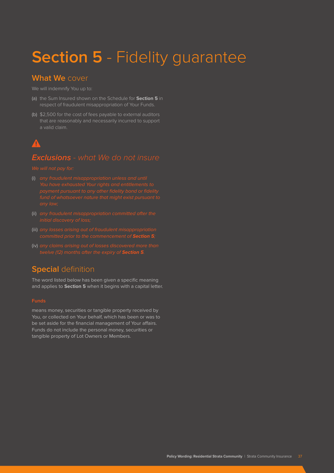# **Section 5** - Fidelity guarantee

# **What We** cover

- (a) the Sum Insured shown on the Schedule for **Section 5** in respect of fraudulent misappropriation of Your Funds.
- (b) \$2,500 for the cost of fees payable to external auditors that are reasonably and necessarily incurred to support a valid claim.

# $\blacktriangle$

# **Exclusions** *- what We do not insure*

- (i) any fraudulent misappropriation unless and until
- (ii) any fraudulent misappropriation committed after the
- (iii) any losses arising out of fraudulent misappropriation
- (iv) any claims arising out of losses discovered more than

# **Special** definition

The word listed below has been given a specific meaning and applies to **Section 5** when it begins with a capital letter.

means money, securities or tangible property received by You, or collected on Your behalf, which has been or was to be set aside for the financial management of Your affairs. Funds do not include the personal money, securities or tangible property of Lot Owners or Members.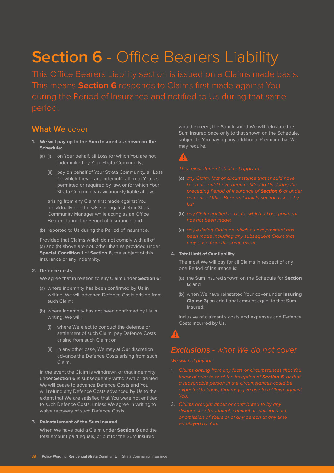# **Section 6** - Office Bearers Liability

This means **Section 6** responds to Claims first made against You

# **What We** cover

- **1. We will pay up to the Sum Insured as shown on the Schedule:**
	- (a) (i) on Your behalf, all Loss for which You are not indemnified by Your Strata Community;
		- (ii) pay on behalf of Your Strata Community, all Loss for which they grant indemnification to You, as permitted or required by law, or for which Your Strata Community is vicariously liable at law;

arising from any Claim first made against You individually or otherwise, or against Your Strata Community Manager while acting as an Office Bearer, during the Period of Insurance; and

(b) reported to Us during the Period of Insurance.

Provided that Claims which do not comply with all of (a) and (b) above are not, other than as provided under **Special Condition 1** of **Section 6**, the subject of this insurance or any indemnity.

#### **2. Defence costs**

We agree that in relation to any Claim under **Section 6**:

- (a) where indemnity has been confirmed by Us in writing, We will advance Defence Costs arising from such Claim;
- (b) where indemnity has not been confirmed by Us in writing, We will:
	- (i) where We elect to conduct the defence or settlement of such Claim, pay Defence Costs arising from such Claim; or
	- (ii) in any other case, We may at Our discretion advance the Defence Costs arising from such Claim.

In the event the Claim is withdrawn or that indemnity under **Section 6** is subsequently withdrawn or denied We will cease to advance Defence Costs and You will refund any Defence Costs advanced by Us to the extent that We are satisfied that You were not entitled to such Defence Costs, unless We agree in writing to waive recovery of such Defence Costs.

### **3. Reinstatement of the Sum Insured**

When We have paid a Claim under **Section 6** and the total amount paid equals, or but for the Sum Insured

would exceed, the Sum Insured We will reinstate the Sum Insured once only to that shown on the Schedule, subject to You paying any additional Premium that We may require.

- (a) any Claim, fact or circumstance that should have
- (b) any Claim notified to Us for which a Loss payment
- (c) any existing Claim on which a Loss payment has

#### **4. Total limit of Our liability**

The most We will pay for all Claims in respect of any one Period of Insurance is:

- (a) the Sum Insured shown on the Schedule for **Section 6**; and
- (b) when We have reinstated Your cover under **Insuring Clause 3)** an additional amount equal to that Sum Insured;

inclusive of claimant's costs and expenses and Defence Costs incurred by Us.

# **Exclusions** *- what We do not cover*

- 
-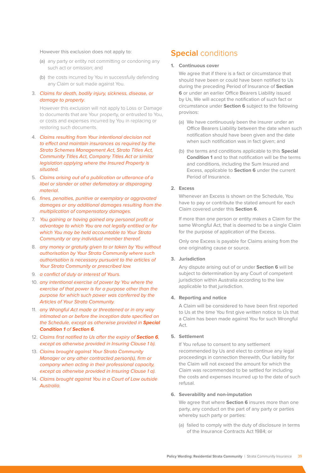#### However this exclusion does not apply to:

- (a) any party or entity not committing or condoning any such act or omission; and
- (b) the costs incurred by You in successfully defending any Claim or suit made against You.
- 3. Claims for death, bodily injury, sickness, disease, or damage to property.

However this exclusion will not apply to Loss or Damage to documents that are Your property, or entrusted to You, or costs and expenses incurred by You in replacing or restoring such documents.

- 4. Claims resulting from Your intentional decision not to effect and maintain insurances as required by the Strata Schemes Management Act, Strata Titles Act, Community Titles Act, Company Titles Act or similar legislation applying where the Insured Property is situated.
- 5. Claims arising out of a publication or utterance of a libel or slander or other defamatory or disparaging material.
- 6. fines, penalties, punitive or exemplary or aggravated damages or any additional damages resulting from the multiplication of compensatory damages.
- 7. You gaining or having gained any personal profit or advantage to which You are not legally entitled or for which You may be held accountable to Your Strata Community or any individual member thereof.
- 8. any money or gratuity given to or taken by You without authorisation by Your Strata Community where such authorisation is necessary pursuant to the articles of Your Strata Community or prescribed law.
- 9. a conflict of duty or interest of Yours.
- 10. any intentional exercise of power by You where the exercise of that power is for a purpose other than the purpose for which such power was conferred by the Articles of Your Strata Community.
- 11. any Wrongful Act made or threatened or in any way intimated on or before the inception date specified on the Schedule, except as otherwise provided in **Special Condition 1** of **Section 6**.
- 12. Claims first notified to Us after the expiry of **Section 6**, except as otherwise provided in Insuring Clause 1 b).
- 13. Claims brought against Your Strata Community Manager or any other contracted person(s), firm or company when acting in their professional capacity, except as otherwise provided in Insuring Clause 1 a).
- 14. Claims brought against You in a Court of Law outside Australia.

# **Special** conditions

#### **1. Continuous cover**

We agree that if there is a fact or circumstance that should have been or could have been notified to Us during the preceding Period of Insurance of **Section 6** or under an earlier Office Bearers Liability issued by Us, We will accept the notification of such fact or circumstance under **Section 6** subject to the following provisos:

- (a) We have continuously been the insurer under an Office Bearers Liability between the date when such notification should have been given and the date when such notification was in fact given; and
- (b) the terms and conditions applicable to this **Special Condition 1** and to that notification will be the terms and conditions, including the Sum Insured and Excess, applicable to **Section 6** under the current Period of Insurance.

## **2. Excess**

Whenever an Excess is shown on the Schedule, You have to pay or contribute the stated amount for each Claim covered under this **Section 6**.

If more than one person or entity makes a Claim for the same Wrongful Act, that is deemed to be a single Claim for the purpose of application of the Excess.

Only one Excess is payable for Claims arising from the one originating cause or source.

#### **3. Jurisdiction**

Any dispute arising out of or under **Section 6** will be subject to determination by any Court of competent jurisdiction within Australia according to the law applicable to that jurisdiction.

### **4. Reporting and notice**

A Claim will be considered to have been first reported to Us at the time You first give written notice to Us that a Claim has been made against You for such Wrongful Act.

## **5. Settlement**

If You refuse to consent to any settlement recommended by Us and elect to continue any legal proceedings in connection therewith, Our liability for the Claim will not exceed the amount for which the Claim was recommended to be settled for including the costs and expenses incurred up to the date of such refusal.

#### **6. Severability and non-imputation**

We agree that where **Section 6** insures more than one party, any conduct on the part of any party or parties whereby such party or parties:

(a) failed to comply with the duty of disclosure in terms of the Insurance Contracts Act 1984; or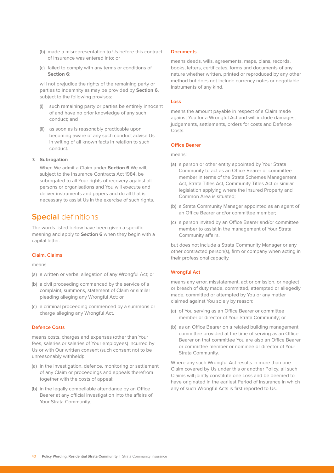- (b) made a misrepresentation to Us before this contract of insurance was entered into; or
- (c) failed to comply with any terms or conditions of **Section 6**;

will not prejudice the rights of the remaining party or parties to indemnity as may be provided by **Section 6**, subject to the following provisos:

- (i) such remaining party or parties be entirely innocent of and have no prior knowledge of any such conduct; and
- (ii) as soon as is reasonably practicable upon becoming aware of any such conduct advise Us in writing of all known facts in relation to such conduct.

#### **7. Subrogation**

When We admit a Claim under **Section 6** We will, subject to the Insurance Contracts Act 1984, be subrogated to all Your rights of recovery against all persons or organisations and You will execute and deliver instruments and papers and do all that is necessary to assist Us in the exercise of such rights.

# **Special** definitions

The words listed below have been given a specific meaning and apply to **Section 6** when they begin with a capital letter.

#### **Claim, Claims**

means

- (a) a written or verbal allegation of any Wrongful Act; or
- (b) a civil proceeding commenced by the service of a complaint, summons, statement of Claim or similar pleading alleging any Wrongful Act; or
- (c) a criminal proceeding commenced by a summons or charge alleging any Wrongful Act.

#### **Defence Costs**

means costs, charges and expenses (other than Your fees, salaries or salaries of Your employees) incurred by Us or with Our written consent (such consent not to be unreasonably withheld):

- (a) in the investigation, defence, monitoring or settlement of any Claim or proceedings and appeals therefrom together with the costs of appeal;
- (b) in the legally compellable attendance by an Office Bearer at any official investigation into the affairs of Your Strata Community.

#### **Documents**

means deeds, wills, agreements, maps, plans, records, books, letters, certificates, forms and documents of any nature whether written, printed or reproduced by any other method but does not include currency notes or negotiable instruments of any kind.

#### **Loss**

means the amount payable in respect of a Claim made against You for a Wrongful Act and will include damages, judgements, settlements, orders for costs and Defence Costs.

#### **Office Bearer**

means:

- (a) a person or other entity appointed by Your Strata Community to act as an Office Bearer or committee member in terms of the Strata Schemes Management Act, Strata Titles Act, Community Titles Act or similar legislation applying where the Insured Property and Common Area is situated;
- (b) a Strata Community Manager appointed as an agent of an Office Bearer and/or committee member;
- (c) a person invited by an Office Bearer and/or committee member to assist in the management of Your Strata Community affairs.

but does not include a Strata Community Manager or any other contracted person(s), firm or company when acting in their professional capacity.

#### **Wrongful Act**

means any error, misstatement, act or omission, or neglect or breach of duty made, committed, attempted or allegedly made, committed or attempted by You or any matter claimed against You solely by reason:

- (a) of You serving as an Office Bearer or committee member or director of Your Strata Community; or
- (b) as an Office Bearer on a related building management committee provided at the time of serving as an Office Bearer on that committee You are also an Office Bearer or committee member or nominee or director of Your Strata Community.

Where any such Wrongful Act results in more than one Claim covered by Us under this or another Policy, all such Claims will jointly constitute one Loss and be deemed to have originated in the earliest Period of Insurance in which any of such Wrongful Acts is first reported to Us.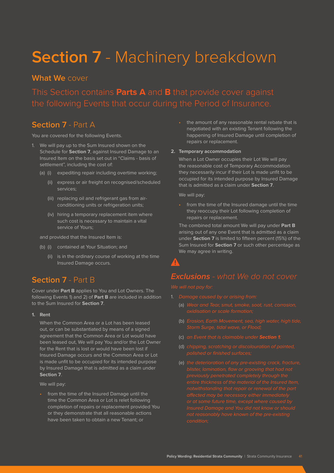# **Section 7** - Machinery breakdown

# **What We** cover

This Section contains **Parts A** and **B** that provide cover against

# **Section 7** - Part A

You are covered for the following Events.

- 1. We will pay up to the Sum Insured shown on the Schedule for **Section 7**, against Insured Damage to an Insured Item on the basis set out in "Claims - basis of settlement", including the cost of:
	- (a) (i) expediting repair including overtime working;
		- (ii) express or air freight on recognised/scheduled services;
		- (iii) replacing oil and refrigerant gas from airconditioning units or refrigeration units;
		- (iv) hiring a temporary replacement item where such cost is necessary to maintain a vital service of Yours;

and provided that the Insured Item is:

- (b) (i) contained at Your Situation; and
	- (ii) is in the ordinary course of working at the time Insured Damage occurs.

# **Section 7** - Part B

Cover under **Part B** applies to You and Lot Owners. The following Events 1) and 2) of **Part B** are included in addition to the Sum Insured for **Section 7**.

**1. Rent**

When the Common Area or a Lot has been leased out, or can be substantiated by means of a signed agreement that the Common Area or Lot would have been leased out, We will pay You and/or the Lot Owner for the Rent that is lost or would have been lost if Insured Damage occurs and the Common Area or Lot is made unfit to be occupied for its intended purpose by Insured Damage that is admitted as a claim under **Section 7**.

We will pay:

• from the time of the Insured Damage until the time the Common Area or Lot is relet following completion of repairs or replacement provided You or they demonstrate that all reasonable actions have been taken to obtain a new Tenant; or

• the amount of any reasonable rental rebate that is negotiated with an existing Tenant following the happening of Insured Damage until completion of repairs or replacement.

#### **2. Temporary accommodation**

When a Lot Owner occupies their Lot We will pay the reasonable cost of Temporary Accommodation they necessarily incur if their Lot is made unfit to be occupied for its intended purpose by Insured Damage that is admitted as a claim under **Section 7**.

We will pay:

• from the time of the Insured damage until the time they reoccupy their Lot following completion of repairs or replacement.

The combined total amount We will pay under **Part B**  arising out of any one Event that is admitted as a claim under **Section 7** is limited to fifteen percent (15%) of the Sum Insured for **Section 7** or such other percentage as We may agree in writing.

# **Exclusions** *- what We do not cover*

- - (a) Wear and Tear, smut, smoke, soot, rust, corrosion,
	- (b) Erosion, Earth Movement, sea, high water, high tide,
	- (c) an Event that is claimable under **Section 1**;
	- (d) chipping, scratching or discolouration of painted,
	-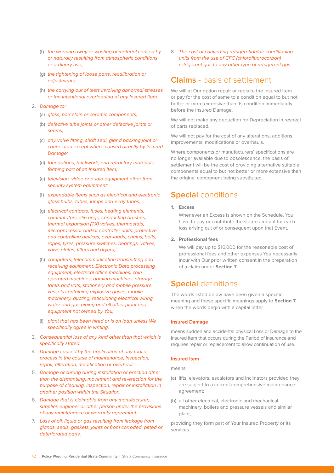- (f) the wearing away or wasting of material caused by or naturally resulting from atmospheric conditions or ordinary use;
- (g) the tightening of loose parts, recalibration or adjustments;
- (h) the carrying out of tests involving abnormal stresses or the intentional overloading of any Insured Item.
- 2. Damage to:
	- (a) glass, porcelain or ceramic components;
	- (b) defective tube joints or other defective joints or seams;
	- (c) any valve fitting, shaft seal, gland packing joint or connection except where caused directly by Insured Damage;
	- (d) foundations, brickwork, and refractory materials forming part of an Insured Item;
	- (e) television, video or audio equipment other than security system equipment;
	- (f) expendable items such as electrical and electronic glass bulbs, tubes, lamps and x-ray tubes;
	- (g) electrical contacts, fuses, heating elements, commutators, slip rings, conducting brushes, thermal expansion (TX) valves, thermostats, microprocessor and/or controller units, protective and controlling devices, over-loads, chains, belts, ropes, tyres, pressure switches, bearings, valves, valve plates, filters and dryers;
	- (h) computers, telecommunication transmitting and receiving equipment, Electronic Data processing equipment, electrical office machines, coin operated machines, gaming machines, storage tanks and vats, stationery and mobile pressure vessels containing explosive gases, mobile machinery, ducting, reticulating electrical wiring, water and gas piping and all other plant and equipment not owned by You;
	- (i) plant that has been hired or is on loan unless We specifically agree in writing.
- 3. Consequential loss of any kind other than that which is specifically stated.
- 4. Damage caused by the application of any tool or process in the course of maintenance, inspection, repair, alteration, modification or overhaul.
- 5. Damage occurring during installation or erection other than the dismantling, movement and re-erection for the purpose of cleaning, inspection, repair or installation in another position within the Situation.
- 6. Damage that is claimable from any manufacturer, supplier, engineer or other person under the provisions of any maintenance or warranty agreement.
- 7. Loss of oil, liquid or gas resulting from leakage from glands, seals, gaskets, joints or from corroded, pitted or deteriorated parts.

8. The cost of converting refrigeration/air-conditioning units from the use of CFC (chlorofluorocarbon) refrigerant gas to any other type of refrigerant gas.

# **Claims** - basis of settlement

We will at Our option repair or replace the Insured Item or pay for the cost of same to a condition equal to but not better or more extensive than its condition immediately before the Insured Damage.

We will not make any deduction for Depreciation in respect of parts replaced.

We will not pay for the cost of any alterations, additions, improvements, modifications or overhauls.

Where components or manufacturers' specifications are no longer available due to obsolescence, the basis of settlement will be the cost of providing alternative suitable components equal to but not better or more extensive than the original component being substituted.

# **Special** conditions

## **1. Excess**

Whenever an Excess is shown on the Schedule, You have to pay or contribute the stated amount for each loss arising out of or consequent upon that Event.

#### **2. Professional fees**

We will pay up to \$10,000 for the reasonable cost of professional fees and other expenses You necessarily incur with Our prior written consent in the preparation of a claim under **Section 7**.

# **Special** definitions

The words listed below have been given a specific meaning and these specific meanings apply to **Section 7** when the words begin with a capital letter.

#### **Insured Damage**

means sudden and accidental physical Loss or Damage to the Insured Item that occurs during the Period of Insurance and requires repair or replacement to allow continuation of use.

## **Insured Item**

means:

- (a) lifts, elevators, escalators and inclinators provided they are subject to a current comprehensive maintenance agreement;
- (b) all other electrical, electronic and mechanical machinery, boilers and pressure vessels and similar plant;

providing they form part of Your Insured Property or its services.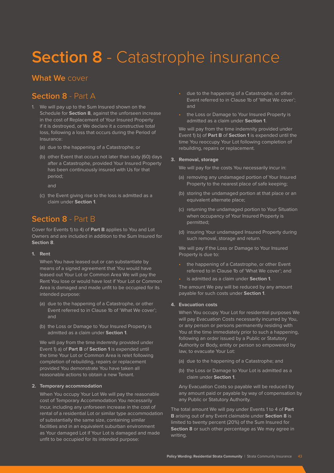# **Section 8** - Catastrophe insurance

# **What We** cover

# **Section 8** - Part A

- 1. We will pay up to the Sum Insured shown on the Schedule for **Section 8**, against the unforseen increase in the cost of Replacement of Your Insured Property if it is destroyed, or We declare it a constructive total loss, following a loss that occurs during the Period of Insurance:
	- (a) due to the happening of a Catastrophe; or
	- (b) other Event that occurs not later than sixty (60) days after a Catastrophe, provided Your Insured Property has been continuously insured with Us for that period;

and

(c) the Event giving rise to the loss is admitted as a claim under **Section 1**.

# **Section 8** - Part B

Cover for Events 1) to 4) of **Part B** applies to You and Lot Owners and are included in addition to the Sum Insured for **Section 8**.

#### **1. Rent**

When You have leased out or can substantiate by means of a signed agreement that You would have leased out Your Lot or Common Area We will pay the Rent You lose or would have lost if Your Lot or Common Area is damaged and made unfit to be occupied for its intended purpose:

- (a) due to the happening of a Catastrophe, or other Event referred to in Clause 1b of 'What We cover'; and
- (b) the Loss or Damage to Your Insured Property is admitted as a claim under **Section 1**.

We will pay from the time indemnity provided under Event 1) a) of **Part B** of **Section 1** is expended until the time Your Lot or Common Area is relet following completion of rebuilding, repairs or replacement provided You demonstrate You have taken all reasonable actions to obtain a new Tenant.

### **2. Temporary accommodation**

When You occupy Your Lot We will pay the reasonable cost of Temporary Accommodation You necessarily incur, including any unforseen increase in the cost of rental of a residential Lot or similar type accommodation of substantially the same size, containing similar facilities and in an equivalent suburban environment as Your damaged Lot if Your Lot is damaged and made unfit to be occupied for its intended purpose:

- due to the happening of a Catastrophe, or other Event referred to in Clause 1b of 'What We cover'; and
- the Loss or Damage to Your Insured Property is admitted as a claim under **Section 1**.

We will pay from the time indemnity provided under Event 1) b) of **Part B** of **Section 1** is expended until the time You reoccupy Your Lot following completion of rebuilding, repairs or replacement.

### **3. Removal, storage**

We will pay for the costs You necessarily incur in:

- (a) removing any undamaged portion of Your Insured Property to the nearest place of safe keeping;
- (b) storing the undamaged portion at that place or an equivalent alternate place;
- (c) returning the undamaged portion to Your Situation when occupancy of Your Insured Property is permitted;
- (d) insuring Your undamaged Insured Property during such removal, storage and return.

We will pay if the Loss or Damage to Your Insured Property is due to:

- the happening of a Catastrophe, or other Event referred to in Clause 1b of 'What We cover'; and
- is admitted as a claim under **Section 1**.

The amount We pay will be reduced by any amount payable for such costs under **Section 1**.

#### **4. Evacuation costs**

When You occupy Your Lot for residential purposes We will pay Evacuation Costs necessarily incurred by You, or any person or persons permanently residing with You at the time immediately prior to such a happening, following an order issued by a Public or Statutory Authority or Body, entity or person so empowered by law, to evacuate Your Lot:

- (a) due to the happening of a Catastrophe; and
- (b) the Loss or Damage to Your Lot is admitted as a claim under **Section 1**.

Any Evacuation Costs so payable will be reduced by any amount paid or payable by way of compensation by any Public or Statutory Authority.

The total amount We will pay under Events 1 to 4 of **Part B** arising out of any Event claimable under **Section 8** is limited to twenty percent (20%) of the Sum Insured for **Section 8** or such other percentage as We may agree in writing.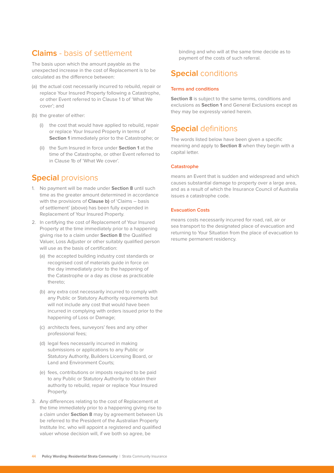# **Claims** - basis of settlement

The basis upon which the amount payable as the unexpected increase in the cost of Replacement is to be calculated as the difference between:

- (a) the actual cost necessarily incurred to rebuild, repair or replace Your Insured Property following a Catastrophe, or other Event referred to in Clause 1 b of 'What We cover'; and
- (b) the greater of either:
	- (i) the cost that would have applied to rebuild, repair or replace Your Insured Property in terms of **Section 1** immediately prior to the Catastrophe; or
	- (ii) the Sum Insured in force under **Section 1** at the time of the Catastrophe, or other Event referred to in Clause 1b of 'What We cover'.

# **Special** provisions

- 1. No payment will be made under **Section 8** until such time as the greater amount determined in accordance with the provisions of **Clause b)** of 'Claims – basis of settlement' (above) has been fully expended in Replacement of Your Insured Property.
- 2. In certifying the cost of Replacement of Your Insured Property at the time immediately prior to a happening giving rise to a claim under **Section 8** the Qualified Valuer, Loss Adjuster or other suitably qualified person will use as the basis of certification:
	- (a) the accepted building industry cost standards or recognised cost of materials guide in force on the day immediately prior to the happening of the Catastrophe or a day as close as practicable thereto;
	- (b) any extra cost necessarily incurred to comply with any Public or Statutory Authority requirements but will not include any cost that would have been incurred in complying with orders issued prior to the happening of Loss or Damage;
	- (c) architects fees, surveyors' fees and any other professional fees;
	- (d) legal fees necessarily incurred in making submissions or applications to any Public or Statutory Authority, Builders Licensing Board, or Land and Environment Courts;
	- (e) fees, contributions or imposts required to be paid to any Public or Statutory Authority to obtain their authority to rebuild, repair or replace Your Insured Property.
- 3. Any differences relating to the cost of Replacement at the time immediately prior to a happening giving rise to a claim under **Section 8** may by agreement between Us be referred to the President of the Australian Property Institute Inc. who will appoint a registered and qualified valuer whose decision will, if we both so agree, be

binding and who will at the same time decide as to payment of the costs of such referral.

# **Special** conditions

## **Terms and conditions**

**Section 8** is subject to the same terms, conditions and exclusions as **Section 1** and General Exclusions except as they may be expressly varied herein.

# **Special** definitions

The words listed below have been given a specific meaning and apply to **Section 8** when they begin with a capital letter.

## **Catastrophe**

means an Event that is sudden and widespread and which causes substantial damage to property over a large area, and as a result of which the Insurance Council of Australia issues a catastrophe code.

## **Evacuation Costs**

means costs necessarily incurred for road, rail, air or sea transport to the designated place of evacuation and returning to Your Situation from the place of evacuation to resume permanent residency.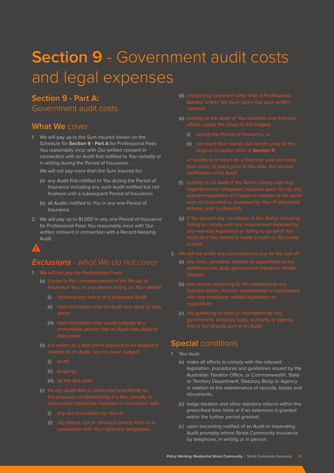# **Section 9** - Government audit costs and legal expenses

# **Section 9 - Part A:**

Government audit costs

# **What We** cover

1. We will pay up to the Sum Insured shown on the Schedule for **Section 9 - Part A** for Professional Fees You reasonably incur with Our written consent in connection with an Audit first notified to You verbally or in writing during the Period of Insurance.

We will not pay more than the Sum Insured for:

- (a) any Audit first notified to You during the Period of Insurance including any such Audit notified but not finalised until a subsequent Period of Insurance;
- (b) all Audits notified to You in any one Period of Insurance.
- 2. We will pay up to \$1,000 in any one Period of Insurance for Professional Fees You reasonably incur with Our written consent in connection with a Record Keeping Audit.

# **Exclusions** *- what We do not cover*

- - - (i) received any notice of a proposed Audit;
		- (ii) had information that an Audit was likely to take
		- (iii) had information that would indicate to a
	- (b) if a return, or a document required to be lodged in
		- (i) at all;
		- (ii) properly;
		-
	- (c) for any Audit that is conducted specifically for
		- (i) any act or omission by You; or
		- (ii) any failure, act or omission arising from or in
- (d) charged by someone other than a Professional
- (e) relating to the Audit of Your taxation and financial
	- (i) during the Period of Insurance; or
	- (ii) not more than twelve (12) months prior to the

- (f) relating to an Audit if You fail to comply with any
- (g) if You breach any conditions in this Policy, including
- -
	-
	- (c) the gathering of data or information by any

# **Special** conditions

- 1. You must:
	- (a) make all efforts to comply with the relevant legislation, procedures and guidelines issued by the Australian Taxation Office, or Commonwealth, State or Territory Department, Statutory Body or Agency in relation to the maintenance of records, books and documents;
	- (b) lodge taxation and other statutory returns within the prescribed time limits or if an extension is granted within the further period granted;
	- (c) upon becoming notified of an Audit or impending Audit promptly inform Strata Community Insurance by telephone, in writing or in person.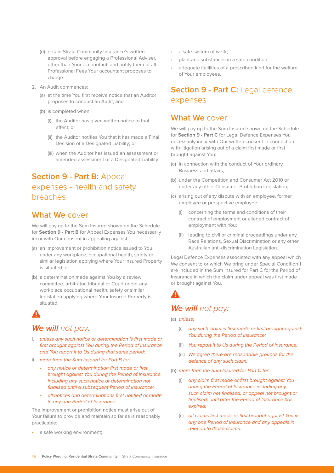- (d) obtain Strata Community Insurance's written approval before engaging a Professional Adviser, other than Your accountant, and notify them of all Professional Fees Your accountant proposes to charge.
- 2. An Audit commences:
	- (a) at the time You first receive notice that an Auditor proposes to conduct an Audit; and
	- (b) is completed when:
		- (i) the Auditor has given written notice to that effect; or
		- (ii) the Auditor notifies You that it has made a Final Decision of a Designated Liability; or
		- (iii) when the Auditor has issued an assessment or amended assessment of a Designated Liability

# **Section 9 - Part B:** Appeal expenses - health and safety breaches

# **What We** cover

We will pay up to the Sum Insured shown on the Schedule for **Section 9 - Part B** for Appeal Expenses You necessarily incur with Our consent in appealing against:

- (a) an improvement or prohibition notice issued to You under any workplace, occupational health, safety or similar legislation applying where Your Insured Property is situated; or
- (b) a determination made against You by a review committee, arbitrator, tribunal or Court under any workplace occupational health, safety or similar legislation applying where Your Insured Property is situated.

# **We will** *not pay:*

- i. unless any such notice or determination is first made or first brought against You during the Period of Insurance and You report it to Us during that same period;
- ii. more than the Sum Insured for Part B for:
	- any notice or determination first made or first brought against You during the Period of Insurance including any such notice or determination not finalised until a subsequent Period of Insurance;
	- all notices and determinations first notified or made in any one Period of Insurance.

The improvement or prohibition notice must arise out of Your failure to provide and maintain so far as is reasonably practicable:

a safe working environment;

- a safe system of work;
- plant and substances in a safe condition;
- adequate facilities of a prescribed kind for the welfare of Your employees.

# **Section 9 - Part C: Legal defence** expenses

# **What We** cover

We will pay up to the Sum Insured shown on the Schedule for **Section 9 - Part C** for Legal Defence Expenses You necessarily incur with Our written consent in connection with litigation arising out of a claim first made or first brought against You:

- (a) in connection with the conduct of Your ordinary Business and affairs;
- (b) under the Competition and Consumer Act 2010 or under any other Consumer Protection Legislation;
- (c) arising out of any dispute with an employee, former employee or prospective employee:
	- (i) concerning the terms and conditions of their contract of employment or alleged contract of employment with You;
	- (ii) leading to civil or criminal proceedings under any Race Relations, Sexual Discrimination or any other Australian anti-discrimination Legislation.

Legal Defence Expenses associated with any appeal which We consent to or which We bring under Special Condition 1 are included in the Sum Insured for Part C for the Period of Insurance in which the claim under appeal was first made or brought against You.

# **We will** *not pay:*

- (a) unless:
	- (i) any such claim is first made or first brought against You during the Period of Insurance;
	- (ii) You report it to Us during the Period of Insurance;
	- (iii) We agree there are reasonable grounds for the defence of any such claim.
- (b) more than the Sum Insured for Part C for:
	- (i) any claim first made or first brought against You during the Period of Insurance including any such claim not finalised, or appeal not brought or finalised, until after the Period of Insurance has expired;
	- (ii) all claims first made or first brought against You in any one Period of Insurance and any appeals in relation to those claims.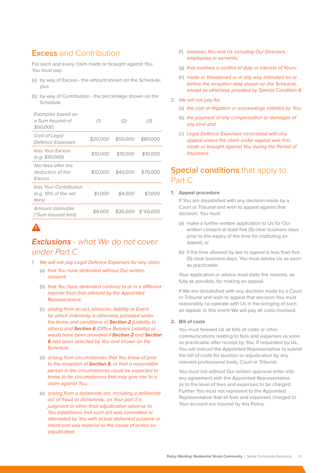# **Excess** and Contribution

For each and every claim made or brought against You, You must pay:

- (a) by way of Excess the amount shown on the Schedule; plus
- (b) by way of Contribution the percentage shown on the Schedule.

| Examples based on<br>a Sum Insured of<br>\$50,000:         | (1)      | (2)      | (3)                |
|------------------------------------------------------------|----------|----------|--------------------|
| Cost of Legal<br>Defence Expenses                          | \$20.000 | \$50,000 | \$80,000           |
| less Your Excess<br>(e.g. \$10,000)                        | \$10.000 | \$10,000 | \$10,000           |
| Net fees after the<br>deduction of the<br>Excess           | \$10.000 | \$40,000 | \$70.000           |
| less Your Contribution<br>(e.g. $10\%$ of the net<br>fees) | \$1,000  | \$4.000  | \$7.000            |
| Amount claimable<br>(*Sum Insured limit)                   | \$9.000  |          | \$36,000 \$*50,000 |

# **Exclusions** *- what We do not cover under Part C*

- 1. We will not pay Legal Defence Expenses for any claim:
	- (a) that You have defended without Our written consent;
	- (b) that You have defended contrary to or in a different manner from that advised by the Appointed Representative;
	- (c) arising from an act, omission, liability or Event for which indemnity is otherwise provided under the terms and conditions of **Section 2** (Liability to others) and **Section 6** (Office Bearers Liability) or would have been provided if **Section 2** and **Section 6** had been selected by You and shown on the Schedule;
	- (d) arising from circumstances that You knew of prior to the inception of **Section 9**, or that a reasonable person in the circumstances could be expected to know, to be circumstances that may give rise to a claim against You;
	- (e) arising from a deliberate act, including a deliberate act of fraud or dishonesty, on Your part if a judgment or other final adjudication adverse to You establishes that such act was committed or attempted by You with actual dishonest purpose or intent and was material to the cause of action so adjudicated;
- (f) between You and Us including Our Directors, employees or servants;
- (g) that involves a conflict of duty or interest of Yours;
- (h) made or threatened or in any way intimated on or before the inception date shown on the Schedule, except as otherwise provided by Special Condition 4;
- 2. We will not pay for:
	- (a) the cost of litigation or proceedings initiated by You;
	- (b) the payment of any compensation or damages of any kind and
	- (c) Legal Defence Expenses associated with any appeal unless the claim under appeal was first made or brought against You during the Period of Insurance.

# **Special conditions** that apply to Part C

#### **1. Appeal procedure**

If You are dissatisfied with any decision made by a Court or Tribunal and wish to appeal against that decision, You must:

- (a) make a further written application to Us for Our written consent at least five (5) clear business days prior to the expiry of the time for instituting an appeal; or
- (b) if the time allowed by law to appeal is less than five (5) clear business days, You must advise Us as soon as practicable.

Your application or advice must state the reasons, as fully as possible, for making an appeal.

If We are dissatisfied with any decision made by a Court or Tribunal and wish to appeal that decision You must reasonably co-operate with Us in the bringing of such an appeal. In this event We will pay all costs involved.

#### **2. Bill of costs**

You must forward Us all bills of costs or other communications relating to fees and expenses as soon as practicable after receipt by You. If requested by Us, You will instruct the Appointed Representative to submit the bill of costs for taxation or adjudication by any relevant professional body, Court or Tribunal.

You must not without Our written approval enter into any agreement with the Appointed Representative as to the level of fees and expenses to be charged. Further You must not represent to the Appointed Representative that all fees and expenses charged to Your account are insured by this Policy.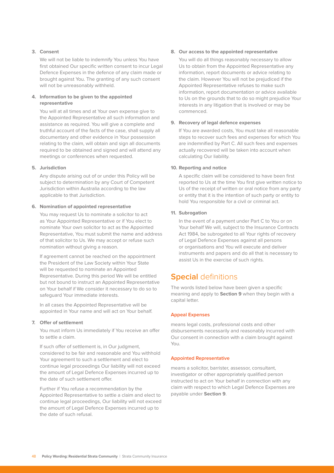#### **3. Consent**

We will not be liable to indemnify You unless You have first obtained Our specific written consent to incur Legal Defence Expenses in the defence of any claim made or brought against You. The granting of any such consent will not be unreasonably withheld.

#### **4. Information to be given to the appointed representative**

You will at all times and at Your own expense give to the Appointed Representative all such information and assistance as required. You will give a complete and truthful account of the facts of the case, shall supply all documentary and other evidence in Your possession relating to the claim, will obtain and sign all documents required to be obtained and signed and will attend any meetings or conferences when requested.

#### **5. Jurisdiction**

Any dispute arising out of or under this Policy will be subject to determination by any Court of Competent Jurisdiction within Australia according to the law applicable to that Jurisdiction.

#### **6. Nomination of appointed representative**

You may request Us to nominate a solicitor to act as Your Appointed Representative or if You elect to nominate Your own solicitor to act as the Appointed Representative, You must submit the name and address of that solicitor to Us. We may accept or refuse such nomination without giving a reason.

If agreement cannot be reached on the appointment the President of the Law Society within Your State will be requested to nominate an Appointed Representative. During this period We will be entitled but not bound to instruct an Appointed Representative on Your behalf if We consider it necessary to do so to safeguard Your immediate interests.

In all cases the Appointed Representative will be appointed in Your name and will act on Your behalf.

#### **7. Offer of settlement**

You must inform Us immediately if You receive an offer to settle a claim.

If such offer of settlement is, in Our judgment, considered to be fair and reasonable and You withhold Your agreement to such a settlement and elect to continue legal proceedings Our liability will not exceed the amount of Legal Defence Expenses incurred up to the date of such settlement offer.

Further if You refuse a recommendation by the Appointed Representative to settle a claim and elect to continue legal proceedings, Our liability will not exceed the amount of Legal Defence Expenses incurred up to the date of such refusal.

#### **8. Our access to the appointed representative**

You will do all things reasonably necessary to allow Us to obtain from the Appointed Representative any information, report documents or advice relating to the claim. However You will not be prejudiced if the Appointed Representative refuses to make such information, report documentation or advice available to Us on the grounds that to do so might prejudice Your interests in any litigation that is involved or may be commenced.

#### **9. Recovery of legal defence expenses**

If You are awarded costs, You must take all reasonable steps to recover such fees and expenses for which You are indemnified by Part C. All such fees and expenses actually recovered will be taken into account when calculating Our liability.

#### **10. Reporting and notice**

A specific claim will be considered to have been first reported to Us at the time You first give written notice to Us of the receipt of written or oral notice from any party or entity that it is the intention of such party or entity to hold You responsible for a civil or criminal act.

#### **11. Subrogation**

In the event of a payment under Part C to You or on Your behalf We will, subject to the Insurance Contracts Act 1984, be subrogated to all Your rights of recovery of Legal Defence Expenses against all persons or organisations and You will execute and deliver instruments and papers and do all that is necessary to assist Us in the exercise of such rights.

# **Special** definitions

The words listed below have been given a specific meaning and apply to **Section 9** when they begin with a capital letter.

#### **Appeal Expenses**

means legal costs, professional costs and other disbursements necessarily and reasonably incurred with Our consent in connection with a claim brought against You.

#### **Appointed Representative**

means a solicitor, barrister, assessor, consultant, investigator or other appropriately qualified person instructed to act on Your behalf in connection with any claim with respect to which Legal Defence Expenses are payable under **Section 9**.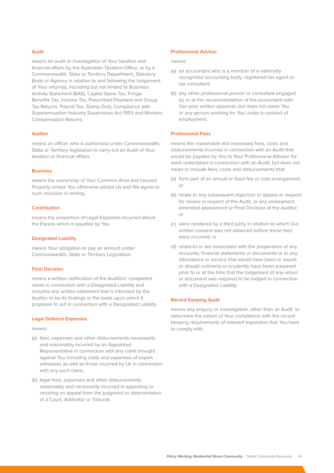#### **Audit**

means an audit or investigation of Your taxation and financial affairs by the Australian Taxation Office, or by a Commonwealth, State or Territory Department, Statutory Body or Agency in relation to and following the lodgement of Your return(s), including but not limited to Business Activity Statement (BAS), Capital Gains Tax, Fringe Benefits Tax, Income Tax, Prescribed Payment and Group Tax Returns, Payroll Tax, Stamp Duty, Compliance with Superannuation Industry Supervision Act 1993 and Workers Compensation Returns.

#### **Auditor**

means an officer who is authorised under Commonwealth, State or Territory legislation to carry out an Audit of Your taxation or financial affairs.

## **Business**

means the ownership of Your Common Area and Insured Property unless You otherwise advise Us and We agree to such inclusion in writing.

#### **Contribution**

means the proportion of Legal Expenses incurred above the Excess which is payable by You.

#### **Designated Liability**

means Your obligation to pay an amount under Commonwealth, State or Territory Legislation.

#### **Final Decision**

means a written notification of the Auditors' completed views in connection with a Designated Liability and includes any written statement that is intended by the Auditor to be its findings or the basis upon which it proposes to act in connection with a Designated Liability.

#### **Legal Defence Expenses**

means:

- (a) fees, expenses and other disbursements necessarily and reasonably incurred by an Appointed Representative in connection with any claim brought against You including costs and expenses of expert witnesses as well as those incurred by Us in connection with any such claim;
- (b) legal fees, expenses and other disbursements reasonably and necessarily incurred in appealing or resisting an appeal from the judgment or determination of a Court, Arbitrator or Tribunal.

#### **Professional Adviser**

#### means:

- (a) an accountant who is a member of a nationally recognised accounting body, registered tax agent or tax consultant;
- (b) any other professional person or consultant engaged by or at the recommendation of the accountant with Our prior written approval, but does not mean You or any person working for You under a contract of employment.

#### **Professional Fees**

means the reasonable and necessary fees, costs and disbursements incurred in connection with an Audit that would be payable by You to Your Professional Adviser for work undertaken in connection with an Audit, but does not mean or include fees, costs and disbursements that:

- (a) form part of an annual or fixed fee or cost arrangement; or
- (b) relate to any subsequent objection or appeal or request for review in respect of the Audit, or any assessment, amended assessment or Final Decision of the Auditor; or
- (c) were rendered by a third party in relation to which Our written consent was not obtained before those fees were incurred; or
- (d) relate to or are associated with the preparation of any accounts, financial statements or documents or to any attendance or service that would have been or would or should ordinarily or prudently have been prepared prior to or at the time that the lodgement of any return or document was required to be lodged in connection with a Designated Liability.

#### **Record Keeping Audit**

means any enquiry or investigation, other than an Audit, to determine the extent of Your compliance with the record keeping requirements of relevant legislation that You have to comply with.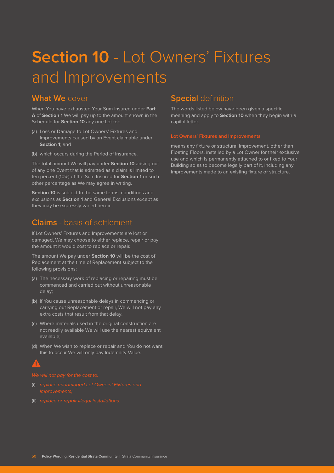# **Section 10** - Lot Owners' Fixtures and Improvements

## **What We** cover

When You have exhausted Your Sum Insured under **Part A** of **Section 1** We will pay up to the amount shown in the Schedule for **Section 10** any one Lot for:

- (a) Loss or Damage to Lot Owners' Fixtures and Improvements caused by an Event claimable under **Section 1**; and
- (b) which occurs during the Period of Insurance.

The total amount We will pay under **Section 10** arising out of any one Event that is admitted as a claim is limited to ten percent (10%) of the Sum Insured for **Section 1** or such other percentage as We may agree in writing.

**Section 10** is subject to the same terms, conditions and exclusions as **Section 1** and General Exclusions except as they may be expressly varied herein.

## **Claims** - basis of settlement

If Lot Owners' Fixtures and Improvements are lost or damaged, We may choose to either replace, repair or pay the amount it would cost to replace or repair.

The amount We pay under **Section 10** will be the cost of Replacement at the time of Replacement subject to the following provisions:

- (a) The necessary work of replacing or repairing must be commenced and carried out without unreasonable delay;
- (b) If You cause unreasonable delays in commencing or carrying out Replacement or repair, We will not pay any extra costs that result from that delay;
- (c) Where materials used in the original construction are not readily available We will use the nearest equivalent available;
- (d) When We wish to replace or repair and You do not want this to occur We will only pay Indemnity Value.

- 
- (ii) replace or repair illegal installations.

# **Special** definition

The words listed below have been given a specific meaning and apply to **Section 10** when they begin with a capital letter.

means any fixture or structural improvement, other than Floating Floors, installed by a Lot Owner for their exclusive use and which is permanently attached to or fixed to Your Building so as to become legally part of it, including any improvements made to an existing fixture or structure.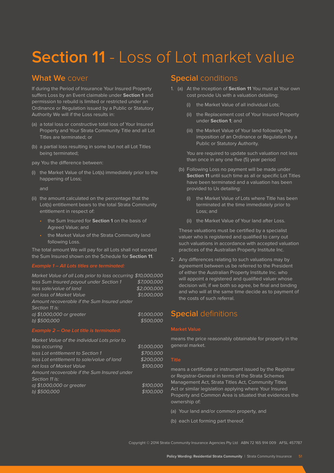# **Section 11 - Loss of Lot market value**

# **What We** cover

If during the Period of Insurance Your Insured Property suffers Loss by an Event claimable under **Section 1** and permission to rebuild is limited or restricted under an Ordinance or Regulation issued by a Public or Statutory Authority We will if the Loss results in:

- (a) a total loss or constructive total loss of Your Insured Property and Your Strata Community Title and all Lot Titles are terminated; or
- (b) a partial loss resulting in some but not all Lot Titles being terminated;

pay You the difference between:

(i) the Market Value of the Lot(s) immediately prior to the happening of Loss;

and

- (ii) the amount calculated on the percentage that the Lot(s) entitlement bears to the total Strata Community entitlement in respect of:
	- the Sum Insured for **Section 1** on the basis of Agreed Value; and
	- the Market Value of the Strata Community land following Loss.

The total amount We will pay for all Lots shall not exceed the Sum Insured shown on the Schedule for **Section 11**.

| Market Value of all Lots prior to loss occurring \$10,000,000 |             |
|---------------------------------------------------------------|-------------|
| less Sum Insured payout under Section 1                       | \$7,000,000 |
| less sale/value of land                                       | \$2,000,000 |
| net loss of Market Value                                      | \$1,000,000 |
| Amount recoverable if the Sum Insured under                   |             |
| Section 11 is:                                                |             |
| a) \$1,000,000 or greater                                     | \$1,000,000 |
| b) \$500,000                                                  | \$500,000   |
|                                                               |             |

| Market Value of the individual Lots prior to |             |
|----------------------------------------------|-------------|
| loss occurring                               | \$1,000,000 |
| less Lot entitlement to Section 1            | \$700,000   |
| less Lot entitlement to sale/value of land   | \$200,000   |
| net loss of Market Value                     | \$100.000   |
| Amount recoverable if the Sum Insured under  |             |
| Section 11 is:                               |             |
| a) \$1,000,000 or greater                    | \$100.000   |
| b) \$500,000                                 | \$100.000   |
|                                              |             |

# **Special** conditions

- 1. (a) At the inception of **Section 11** You must at Your own cost provide Us with a valuation detailing:
	- (i) the Market Value of all individual Lots;
	- (ii) the Replacement cost of Your Insured Property under **Section 1**; and
	- (iii) the Market Value of Your land following the imposition of an Ordinance or Regulation by a Public or Statutory Authority.

You are required to update such valuation not less than once in any one five (5) year period

- (b) Following Loss no payment will be made under **Section 11** until such time as all or specific Lot Titles have been terminated and a valuation has been provided to Us detailing:
	- (i) the Market Value of Lots where Title has been terminated at the time immediately prior to Loss; and
	- (ii) the Market Value of Your land after Loss.

These valuations must be certified by a specialist valuer who is registered and qualified to carry out such valuations in accordance with accepted valuation practices of the Australian Property Institute Inc.

2. Any differences relating to such valuations may by agreement between us be referred to the President of either the Australian Property Institute Inc. who will appoint a registered and qualified valuer whose decision will, if we both so agree, be final and binding and who will at the same time decide as to payment of the costs of such referral.

## **Special** definitions

#### **Market Value**

means the price reasonably obtainable for property in the general market.

means a certificate or instrument issued by the Registrar or Registrar-General in terms of the Strata Schemes Management Act, Strata Titles Act, Community Titles Act or similar legislation applying where Your Insured Property and Common Area is situated that evidences the ownership of:

- (a) Your land and/or common property, and
- (b) each Lot forming part thereof.

Copyright © 2014 Strata Community Insurance Agencies Pty Ltd ABN 72 165 914 009 AFSL 457787